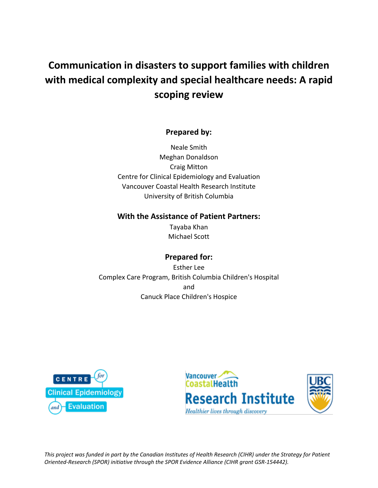# **Communication in disasters to support families with children with medical complexity and special healthcare needs: A rapid scoping review**

## **Prepared by:**

Neale Smith Meghan Donaldson Craig Mitton Centre for Clinical Epidemiology and Evaluation Vancouver Coastal Health Research Institute University of British Columbia

## **With the Assistance of Patient Partners:**

Tayaba Khan Michael Scott

# **Prepared for:**

Esther Lee Complex Care Program, British Columbia Children's Hospital and Canuck Place Children's Hospice





*This project was funded in part by the Canadian Institutes of Health Research (CIHR) under the Strategy for Patient Oriented-Research (SPOR) initiative through the SPOR Evidence Alliance (CIHR grant GSR-154442).*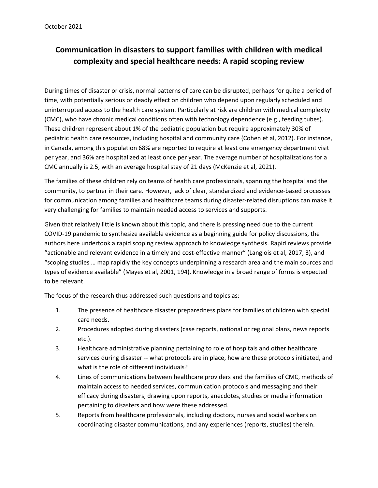# **Communication in disasters to support families with children with medical complexity and special healthcare needs: A rapid scoping review**

During times of disaster or crisis, normal patterns of care can be disrupted, perhaps for quite a period of time, with potentially serious or deadly effect on children who depend upon regularly scheduled and uninterrupted access to the health care system. Particularly at risk are children with medical complexity (CMC), who have chronic medical conditions often with technology dependence (e.g., feeding tubes). These children represent about 1% of the pediatric population but require approximately 30% of pediatric health care resources, including hospital and community care (Cohen et al, 2012). For instance, in Canada, among this population 68% are reported to require at least one emergency department visit per year, and 36% are hospitalized at least once per year. The average number of hospitalizations for a CMC annually is 2.5, with an average hospital stay of 21 days (McKenzie et al, 2021).

The families of these children rely on teams of health care professionals, spanning the hospital and the community, to partner in their care. However, lack of clear, standardized and evidence-based processes for communication among families and healthcare teams during disaster-related disruptions can make it very challenging for families to maintain needed access to services and supports.

Given that relatively little is known about this topic, and there is pressing need due to the current COVID-19 pandemic to synthesize available evidence as a beginning guide for policy discussions, the authors here undertook a rapid scoping review approach to knowledge synthesis. Rapid reviews provide "actionable and relevant evidence in a timely and cost-effective manner" (Langlois et al, 2017, 3), and "scoping studies … map rapidly the key concepts underpinning a research area and the main sources and types of evidence available" (Mayes et al, 2001, 194). Knowledge in a broad range of forms is expected to be relevant.

The focus of the research thus addressed such questions and topics as:

- 1. The presence of healthcare disaster preparedness plans for families of children with special care needs.
- 2. Procedures adopted during disasters (case reports, national or regional plans, news reports etc.).
- 3. Healthcare administrative planning pertaining to role of hospitals and other healthcare services during disaster -- what protocols are in place, how are these protocols initiated, and what is the role of different individuals?
- 4. Lines of communications between healthcare providers and the families of CMC, methods of maintain access to needed services, communication protocols and messaging and their efficacy during disasters, drawing upon reports, anecdotes, studies or media information pertaining to disasters and how were these addressed.
- 5. Reports from healthcare professionals, including doctors, nurses and social workers on coordinating disaster communications, and any experiences (reports, studies) therein.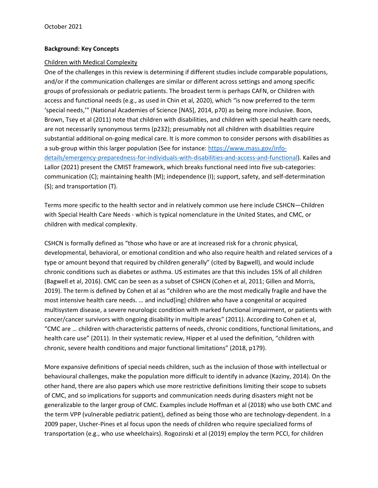#### **Background: Key Concepts**

#### Children with Medical Complexity

One of the challenges in this review is determining if different studies include comparable populations, and/or if the communication challenges are similar or different across settings and among specific groups of professionals or pediatric patients. The broadest term is perhaps CAFN, or Children with access and functional needs (e.g., as used in Chin et al, 2020), which "is now preferred to the term 'special needs,'" (National Academies of Science [NAS], 2014, p70) as being more inclusive. Boon, Brown, Tsey et al (2011) note that children with disabilities, and children with special health care needs, are not necessarily synonymous terms (p232); presumably not all children with disabilities require substantial additional on-going medical care. It is more common to consider persons with disabilities as a sub-group within this larger population (See for instance: [https://www.mass.gov/info](https://www.mass.gov/info-details/emergency-preparedness-for-individuals-with-disabilities-and-access-and-functional)[details/emergency-preparedness-for-individuals-with-disabilities-and-access-and-functional\)](https://www.mass.gov/info-details/emergency-preparedness-for-individuals-with-disabilities-and-access-and-functional). Kailes and Lallor (2021) present the CMIST framework, which breaks functional need into five sub-categories: communication (C); maintaining health (M); independence (I); support, safety, and self-determination (S); and transportation (T).

Terms more specific to the health sector and in relatively common use here include CSHCN—Children with Special Health Care Needs - which is typical nomenclature in the United States, and CMC, or children with medical complexity.

CSHCN is formally defined as "those who have or are at increased risk for a chronic physical, developmental, behavioral, or emotional condition and who also require health and related services of a type or amount beyond that required by children generally" (cited by Bagwell), and would include chronic conditions such as diabetes or asthma. US estimates are that this includes 15% of all children (Bagwell et al, 2016). CMC can be seen as a subset of CSHCN (Cohen et al, 2011; Gillen and Morris, 2019). The term is defined by Cohen et al as "children who are the most medically fragile and have the most intensive health care needs. … and includ[ing] children who have a congenital or acquired multisystem disease, a severe neurologic condition with marked functional impairment, or patients with cancer/cancer survivors with ongoing disability in multiple areas" (2011). According to Cohen et al, "CMC are … children with characteristic patterns of needs, chronic conditions, functional limitations, and health care use" (2011). In their systematic review, Hipper et al used the definition, "children with chronic, severe health conditions and major functional limitations" (2018, p179).

More expansive definitions of special needs children, such as the inclusion of those with intellectual or behavioural challenges, make the population more difficult to identify in advance (Kaziny, 2014). On the other hand, there are also papers which use more restrictive definitions limiting their scope to subsets of CMC, and so implications for supports and communication needs during disasters might not be generalizable to the larger group of CMC. Examples include Hoffman et al (2018) who use both CMC and the term VPP (vulnerable pediatric patient), defined as being those who are technology-dependent. In a 2009 paper, Uscher-Pines et al focus upon the needs of children who require specialized forms of transportation (e.g., who use wheelchairs). Rogozinski et al (2019) employ the term PCCI, for children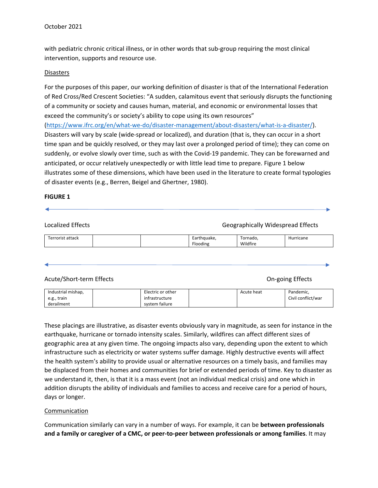with pediatric chronic critical illness, or in other words that sub-group requiring the most clinical intervention, supports and resource use.

#### Disasters

For the purposes of this paper, our working definition of disaster is that of the International Federation of Red Cross/Red Crescent Societies: "A sudden, calamitous event that seriously disrupts the functioning of a community or society and causes human, material, and economic or environmental losses that exceed the community's or society's ability to cope using its own resources" [\(https://www.ifrc.org/en/what-we-do/disaster-management/about-disasters/what-is-a-disaster/\)](https://www.ifrc.org/en/what-we-do/disaster-management/about-disasters/what-is-a-disaster/). Disasters will vary by scale (wide-spread or localized), and duration (that is, they can occur in a short time span and be quickly resolved, or they may last over a prolonged period of time); they can come on suddenly, or evolve slowly over time, such as with the Covid-19 pandemic. They can be forewarned and anticipated, or occur relatively unexpectedly or with little lead time to prepare. Figure 1 below illustrates some of these dimensions, which have been used in the literature to create formal typologies of disaster events (e.g., Berren, Beigel and Ghertner, 1980).

#### **FIGURE 1**

| Localized Effects |  |                         | <b>Geographically Widespread Effects</b> |           |
|-------------------|--|-------------------------|------------------------------------------|-----------|
| Terrorist attack  |  | Earthquake,<br>Flooding | Tornado.<br>Wildfire                     | Hurricane |

Acute/Short-term Effects **Containers** On-going Effects **On-going Effects** 

| Industrial mishap, | Electric or other | Acute heat | Pandemic,          |
|--------------------|-------------------|------------|--------------------|
| e.g., train        | infrastructure    |            | Civil conflict/war |
| derailment         | system failure    |            |                    |

These placings are illustrative, as disaster events obviously vary in magnitude, as seen for instance in the earthquake, hurricane or tornado intensity scales. Similarly, wildfires can affect different sizes of geographic area at any given time. The ongoing impacts also vary, depending upon the extent to which infrastructure such as electricity or water systems suffer damage. Highly destructive events will affect the health system's ability to provide usual or alternative resources on a timely basis, and families may be displaced from their homes and communities for brief or extended periods of time. Key to disaster as we understand it, then, is that it is a mass event (not an individual medical crisis) and one which in addition disrupts the ability of individuals and families to access and receive care for a period of hours, days or longer.

#### Communication

Communication similarly can vary in a number of ways. For example, it can be **between professionals and a family or caregiver of a CMC, or peer-to-peer between professionals or among families**. It may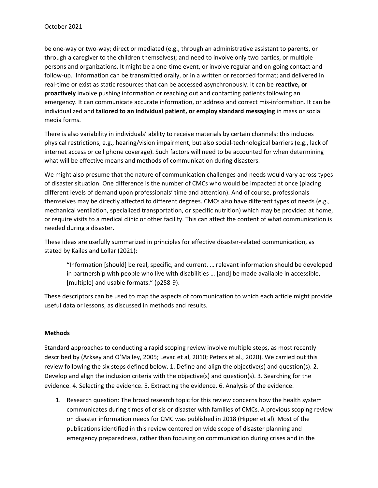be one-way or two-way; direct or mediated (e.g., through an administrative assistant to parents, or through a caregiver to the children themselves); and need to involve only two parties, or multiple persons and organizations. It might be a one-time event, or involve regular and on-going contact and follow-up. Information can be transmitted orally, or in a written or recorded format; and delivered in real-time or exist as static resources that can be accessed asynchronously. It can be **reactive, or proactively** involve pushing information or reaching out and contacting patients following an emergency. It can communicate accurate information, or address and correct mis-information. It can be individualized and **tailored to an individual patient, or employ standard messaging** in mass or social media forms.

There is also variability in individuals' ability to receive materials by certain channels: this includes physical restrictions, e.g., hearing/vision impairment, but also social-technological barriers (e.g., lack of internet access or cell phone coverage). Such factors will need to be accounted for when determining what will be effective means and methods of communication during disasters.

We might also presume that the nature of communication challenges and needs would vary across types of disaster situation. One difference is the number of CMCs who would be impacted at once (placing different levels of demand upon professionals' time and attention). And of course, professionals themselves may be directly affected to different degrees. CMCs also have different types of needs (e.g., mechanical ventilation, specialized transportation, or specific nutrition) which may be provided at home, or require visits to a medical clinic or other facility. This can affect the content of what communication is needed during a disaster.

These ideas are usefully summarized in principles for effective disaster-related communication, as stated by Kailes and Lollar (2021):

"Information [should] be real, specific, and current. … relevant information should be developed in partnership with people who live with disabilities … [and] be made available in accessible, [multiple] and usable formats." (p258-9).

These descriptors can be used to map the aspects of communication to which each article might provide useful data or lessons, as discussed in methods and results.

#### **Methods**

Standard approaches to conducting a rapid scoping review involve multiple steps, as most recently described by (Arksey and O'Malley, 2005; Levac et al, 2010; Peters et al., 2020). We carried out this review following the six steps defined below. 1. Define and align the objective(s) and question(s). 2. Develop and align the inclusion criteria with the objective(s) and question(s). 3. Searching for the evidence. 4. Selecting the evidence. 5. Extracting the evidence. 6. Analysis of the evidence.

1. Research question: The broad research topic for this review concerns how the health system communicates during times of crisis or disaster with families of CMCs. A previous scoping review on disaster information needs for CMC was published in 2018 (Hipper et al). Most of the publications identified in this review centered on wide scope of disaster planning and emergency preparedness, rather than focusing on communication during crises and in the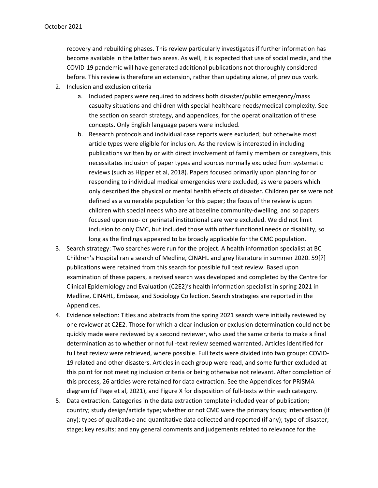recovery and rebuilding phases. This review particularly investigates if further information has become available in the latter two areas. As well, it is expected that use of social media, and the COVID-19 pandemic will have generated additional publications not thoroughly considered before. This review is therefore an extension, rather than updating alone, of previous work.

- 2. Inclusion and exclusion criteria
	- a. Included papers were required to address both disaster/public emergency/mass casualty situations and children with special healthcare needs/medical complexity. See the section on search strategy, and appendices, for the operationalization of these concepts. Only English language papers were included.
	- b. Research protocols and individual case reports were excluded; but otherwise most article types were eligible for inclusion. As the review is interested in including publications written by or with direct involvement of family members or caregivers, this necessitates inclusion of paper types and sources normally excluded from systematic reviews (such as Hipper et al, 2018). Papers focused primarily upon planning for or responding to individual medical emergencies were excluded, as were papers which only described the physical or mental health effects of disaster. Children per se were not defined as a vulnerable population for this paper; the focus of the review is upon children with special needs who are at baseline community-dwelling, and so papers focused upon neo- or perinatal institutional care were excluded. We did not limit inclusion to only CMC, but included those with other functional needs or disability, so long as the findings appeared to be broadly applicable for the CMC population.
- 3. Search strategy: Two searches were run for the project. A health information specialist at BC Children's Hospital ran a search of Medline, CINAHL and grey literature in summer 2020. 59[?] publications were retained from this search for possible full text review. Based upon examination of these papers, a revised search was developed and completed by the Centre for Clinical Epidemiology and Evaluation (C2E2)'s health information specialist in spring 2021 in Medline, CINAHL, Embase, and Sociology Collection. Search strategies are reported in the Appendices.
- 4. Evidence selection: Titles and abstracts from the spring 2021 search were initially reviewed by one reviewer at C2E2. Those for which a clear inclusion or exclusion determination could not be quickly made were reviewed by a second reviewer, who used the same criteria to make a final determination as to whether or not full-text review seemed warranted. Articles identified for full text review were retrieved, where possible. Full texts were divided into two groups: COVID-19 related and other disasters. Articles in each group were read, and some further excluded at this point for not meeting inclusion criteria or being otherwise not relevant. After completion of this process, 26 articles were retained for data extraction. See the Appendices for PRISMA diagram (cf Page et al, 2021), and Figure X for disposition of full-texts within each category.
- 5. Data extraction. Categories in the data extraction template included year of publication; country; study design/article type; whether or not CMC were the primary focus; intervention (if any); types of qualitative and quantitative data collected and reported (if any); type of disaster; stage; key results; and any general comments and judgements related to relevance for the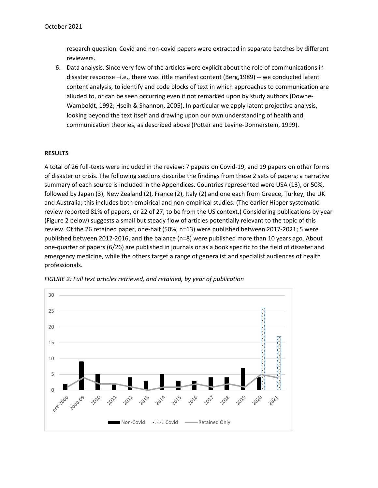research question. Covid and non-covid papers were extracted in separate batches by different reviewers.

6. Data analysis. Since very few of the articles were explicit about the role of communications in disaster response –i.e., there was little manifest content (Berg,1989) -- we conducted latent content analysis, to identify and code blocks of text in which approaches to communication are alluded to, or can be seen occurring even if not remarked upon by study authors (Downe-Wamboldt, 1992; Hseih & Shannon, 2005). In particular we apply latent projective analysis, looking beyond the text itself and drawing upon our own understanding of health and communication theories, as described above (Potter and Levine-Donnerstein, 1999).

#### **RESULTS**

A total of 26 full-texts were included in the review: 7 papers on Covid-19, and 19 papers on other forms of disaster or crisis. The following sections describe the findings from these 2 sets of papers; a narrative summary of each source is included in the Appendices. Countries represented were USA (13), or 50%, followed by Japan (3), New Zealand (2), France (2), Italy (2) and one each from Greece, Turkey, the UK and Australia; this includes both empirical and non-empirical studies. (The earlier Hipper systematic review reported 81% of papers, or 22 of 27, to be from the US context.) Considering publications by year (Figure 2 below) suggests a small but steady flow of articles potentially relevant to the topic of this review. Of the 26 retained paper, one-half (50%, n=13) were published between 2017-2021; 5 were published between 2012-2016, and the balance (n=8) were published more than 10 years ago. About one-quarter of papers (6/26) are published in journals or as a book specific to the field of disaster and emergency medicine, while the others target a range of generalist and specialist audiences of health professionals.



*FIGURE 2: Full text articles retrieved, and retained, by year of publication*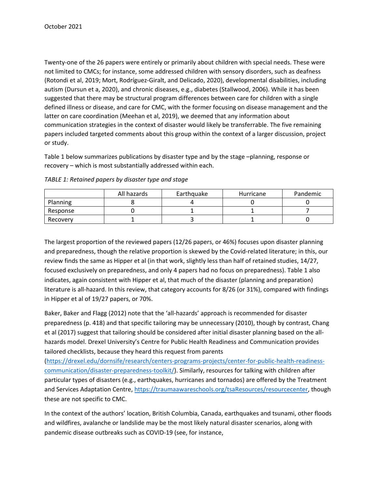Twenty-one of the 26 papers were entirely or primarily about children with special needs. These were not limited to CMCs; for instance, some addressed children with sensory disorders, such as deafness (Rotondi et al, 2019; Mort, Rodríguez-Giralt, and Delicado, 2020), developmental disabilities, including autism (Dursun et a, 2020), and chronic diseases, e.g., diabetes (Stallwood, 2006). While it has been suggested that there may be structural program differences between care for children with a single defined illness or disease, and care for CMC, with the former focusing on disease management and the latter on care coordination (Meehan et al, 2019), we deemed that any information about communication strategies in the context of disaster would likely be transferrable. The five remaining papers included targeted comments about this group within the context of a larger discussion, project or study.

Table 1 below summarizes publications by disaster type and by the stage –planning, response or recovery – which is most substantially addressed within each.

|          | All hazards | Earthquake | Hurricane | Pandemic |
|----------|-------------|------------|-----------|----------|
| Planning |             |            |           |          |
| Response |             |            |           |          |
| Recovery |             |            |           |          |

*TABLE 1: Retained papers by disaster type and stage*

The largest proportion of the reviewed papers (12/26 papers, or 46%) focuses upon disaster planning and preparedness, though the relative proportion is skewed by the Covid-related literature; in this, our review finds the same as Hipper et al (in that work, slightly less than half of retained studies, 14/27, focused exclusively on preparedness, and only 4 papers had no focus on preparedness). Table 1 also indicates, again consistent with Hipper et al, that much of the disaster (planning and preparation) literature is all-hazard. In this review, that category accounts for 8/26 (or 31%), compared with findings in Hipper et al of 19/27 papers, or 70%.

Baker, Baker and Flagg (2012) note that the 'all-hazards' approach is recommended for disaster preparedness (p. 418) and that specific tailoring may be unnecessary (2010), though by contrast, Chang et al (2017) suggest that tailoring should be considered after initial disaster planning based on the allhazards model. Drexel University's Centre for Public Health Readiness and Communication provides tailored checklists, because they heard this request from parents

[\(https://drexel.edu/dornsife/research/centers-programs-projects/center-for-public-health-readiness](https://drexel.edu/dornsife/research/centers-programs-projects/center-for-public-health-readiness-communication/disaster-preparedness-toolkit/)[communication/disaster-preparedness-toolkit/\)](https://drexel.edu/dornsife/research/centers-programs-projects/center-for-public-health-readiness-communication/disaster-preparedness-toolkit/). Similarly, resources for talking with children after particular types of disasters (e.g., earthquakes, hurricanes and tornados) are offered by the Treatment and Services Adaptation Centre, [https://traumaawareschools.org/tsaResources/resourcecenter,](https://traumaawareschools.org/tsaResources/resourcecenter) though these are not specific to CMC.

In the context of the authors' location, British Columbia, Canada, earthquakes and tsunami, other floods and wildfires, avalanche or landslide may be the most likely natural disaster scenarios, along with pandemic disease outbreaks such as COVID-19 (see, for instance,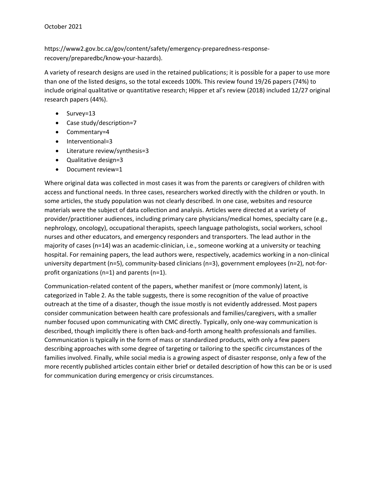https://www2.gov.bc.ca/gov/content/safety/emergency-preparedness-responserecovery/preparedbc/know-your-hazards).

A variety of research designs are used in the retained publications; it is possible for a paper to use more than one of the listed designs, so the total exceeds 100%. This review found 19/26 papers (74%) to include original qualitative or quantitative research; Hipper et al's review (2018) included 12/27 original research papers (44%).

- Survey=13
- Case study/description=7
- Commentary=4
- Interventional=3
- Literature review/synthesis=3
- Qualitative design=3
- Document review=1

Where original data was collected in most cases it was from the parents or caregivers of children with access and functional needs. In three cases, researchers worked directly with the children or youth. In some articles, the study population was not clearly described. In one case, websites and resource materials were the subject of data collection and analysis. Articles were directed at a variety of provider/practitioner audiences, including primary care physicians/medical homes, specialty care (e.g., nephrology, oncology), occupational therapists, speech language pathologists, social workers, school nurses and other educators, and emergency responders and transporters. The lead author in the majority of cases (n=14) was an academic-clinician, i.e., someone working at a university or teaching hospital. For remaining papers, the lead authors were, respectively, academics working in a non-clinical university department (n=5), community-based clinicians (n=3), government employees (n=2), not-forprofit organizations (n=1) and parents (n=1).

Communication-related content of the papers, whether manifest or (more commonly) latent, is categorized in Table 2. As the table suggests, there is some recognition of the value of proactive outreach at the time of a disaster, though the issue mostly is not evidently addressed. Most papers consider communication between health care professionals and families/caregivers, with a smaller number focused upon communicating with CMC directly. Typically, only one-way communication is described, though implicitly there is often back-and-forth among health professionals and families. Communication is typically in the form of mass or standardized products, with only a few papers describing approaches with some degree of targeting or tailoring to the specific circumstances of the families involved. Finally, while social media is a growing aspect of disaster response, only a few of the more recently published articles contain either brief or detailed description of how this can be or is used for communication during emergency or crisis circumstances.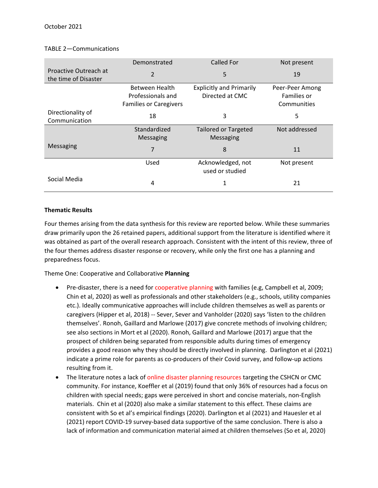#### TABLE 2—Communications

|                                               | Demonstrated                  | <b>Called For</b>                    | Not present     |  |
|-----------------------------------------------|-------------------------------|--------------------------------------|-----------------|--|
| Proactive Outreach at<br>the time of Disaster | 2                             | 5                                    | 19              |  |
|                                               | Between Health                | <b>Explicitly and Primarily</b>      | Peer-Peer Among |  |
|                                               | Professionals and             | Directed at CMC                      | Families or     |  |
|                                               | <b>Families or Caregivers</b> |                                      | Communities     |  |
| Directionality of<br>Communication            | 18                            | 3                                    | 5               |  |
|                                               | Standardized                  | <b>Tailored or Targeted</b>          | Not addressed   |  |
|                                               | <b>Messaging</b>              | Messaging                            |                 |  |
| Messaging                                     | 7                             | 8                                    | 11              |  |
|                                               | Used                          | Acknowledged, not<br>used or studied | Not present     |  |
| Social Media                                  | 4                             | 1                                    | 21              |  |

#### **Thematic Results**

Four themes arising from the data synthesis for this review are reported below. While these summaries draw primarily upon the 26 retained papers, additional support from the literature is identified where it was obtained as part of the overall research approach. Consistent with the intent of this review, three of the four themes address disaster response or recovery, while only the first one has a planning and preparedness focus.

Theme One: Cooperative and Collaborative **Planning**

- Pre-disaster, there is a need for cooperative planning with families (e.g, Campbell et al, 2009; Chin et al, 2020) as well as professionals and other stakeholders (e.g., schools, utility companies etc.). Ideally communicative approaches will include children themselves as well as parents or caregivers (Hipper et al, 2018) -- Sever, Sever and Vanholder (2020) says 'listen to the children themselves'. Ronoh, Gaillard and Marlowe (2017) give concrete methods of involving children; see also sections in Mort et al (2020). Ronoh, Gaillard and Marlowe (2017) argue that the prospect of children being separated from responsible adults during times of emergency provides a good reason why they should be directly involved in planning. Darlington et al (2021) indicate a prime role for parents as co-producers of their Covid survey, and follow-up actions resulting from it.
- The literature notes a lack of online disaster planning resources targeting the CSHCN or CMC community. For instance, Koeffler et al (2019) found that only 36% of resources had a focus on children with special needs; gaps were perceived in short and concise materials, non-English materials. Chin et al (2020) also make a similar statement to this effect. These claims are consistent with So et al's empirical findings (2020). Darlington et al (2021) and Hauesler et al (2021) report COVID-19 survey-based data supportive of the same conclusion. There is also a lack of information and communication material aimed at children themselves (So et al, 2020)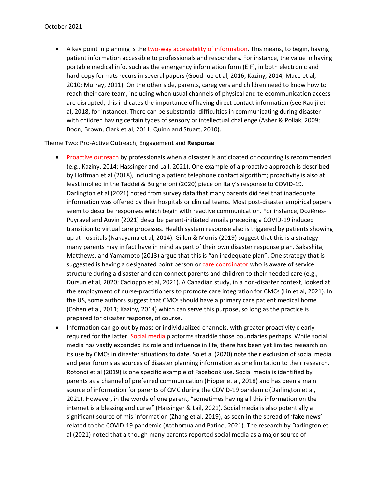• A key point in planning is the two-way accessibility of information. This means, to begin, having patient information accessible to professionals and responders. For instance, the value in having portable medical info, such as the emergency information form (EIF), in both electronic and hard-copy formats recurs in several papers (Goodhue et al, 2016; Kaziny, 2014; Mace et al, 2010; Murray, 2011). On the other side, parents, caregivers and children need to know how to reach their care team, including when usual channels of physical and telecommunication access are disrupted; this indicates the importance of having direct contact information (see Raulji et al, 2018, for instance). There can be substantial difficulties in communicating during disaster with children having certain types of sensory or intellectual challenge (Asher & Pollak, 2009; Boon, Brown, Clark et al, 2011; Quinn and Stuart, 2010).

Theme Two: Pro-Active Outreach, Engagement and **Response**

- Proactive outreach by professionals when a disaster is anticipated or occurring is recommended (e.g., Kaziny, 2014; Hassinger and Lail, 2021). One example of a proactive approach is described by Hoffman et al (2018), including a patient telephone contact algorithm; proactivity is also at least implied in the Taddei & Bulgheroni (2020) piece on Italy's response to COVID-19. Darlington et al (2021) noted from survey data that many parents did feel that inadequate information was offered by their hospitals or clinical teams. Most post-disaster empirical papers seem to describe responses which begin with reactive communication. For instance, Dozières-Puyravel and Auvin (2021) describe parent-initiated emails preceding a COVID-19 induced transition to virtual care processes. Health system response also is triggered by patients showing up at hospitals (Nakayama et al, 2014). Gillen & Morris (2019) suggest that this is a strategy many parents may in fact have in mind as part of their own disaster response plan. Sakashita, Matthews, and Yamamoto (2013) argue that this is "an inadequate plan". One strategy that is suggested is having a designated point person or care coordinator who is aware of service structure during a disaster and can connect parents and children to their needed care (e.g., Dursun et al, 2020; Cacioppo et al, 2021). A Canadian study, in a non-disaster context, looked at the employment of nurse-practitioners to promote care integration for CMCs (Lin et al, 2021). In the US, some authors suggest that CMCs should have a primary care patient medical home (Cohen et al, 2011; Kaziny, 2014) which can serve this purpose, so long as the practice is prepared for disaster response, of course.
- Information can go out by mass or individualized channels, with greater proactivity clearly required for the latter. Social media platforms straddle those boundaries perhaps. While social media has vastly expanded its role and influence in life, there has been yet limited research on its use by CMCs in disaster situations to date. So et al (2020) note their exclusion of social media and peer forums as sources of disaster planning information as one limitation to their research. Rotondi et al (2019) is one specific example of Facebook use. Social media is identified by parents as a channel of preferred communication (Hipper et al, 2018) and has been a main source of information for parents of CMC during the COVID-19 pandemic (Darlington et al, 2021). However, in the words of one parent, "sometimes having all this information on the internet is a blessing and curse" (Hassinger & Lail, 2021). Social media is also potentially a significant source of mis-information (Zhang et al, 2019), as seen in the spread of 'fake news' related to the COVID-19 pandemic (Atehortua and Patino, 2021). The research by Darlington et al (2021) noted that although many parents reported social media as a major source of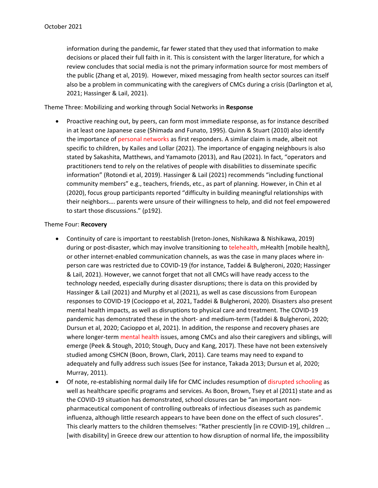information during the pandemic, far fewer stated that they used that information to make decisions or placed their full faith in it. This is consistent with the larger literature, for which a review concludes that social media is not the primary information source for most members of the public (Zhang et al, 2019). However, mixed messaging from health sector sources can itself also be a problem in communicating with the caregivers of CMCs during a crisis (Darlington et al, 2021; Hassinger & Lail, 2021).

Theme Three: Mobilizing and working through Social Networks in **Response**

• Proactive reaching out, by peers, can form most immediate response, as for instance described in at least one Japanese case (Shimada and Funato, 1995). Quinn & Stuart (2010) also identify the importance of personal networks as first responders. A similar claim is made, albeit not specific to children, by Kailes and Lollar (2021). The importance of engaging neighbours is also stated by Sakashita, Matthews, and Yamamoto (2013), and Rau (2021). In fact, "operators and practitioners tend to rely on the relatives of people with disabilities to disseminate specific information" (Rotondi et al, 2019). Hassinger & Lail (2021) recommends "including functional community members" e.g., teachers, friends, etc., as part of planning. However, in Chin et al (2020), focus group participants reported "difficulty in building meaningful relationships with their neighbors…. parents were unsure of their willingness to help, and did not feel empowered to start those discussions." (p192).

#### Theme Four: **Recovery**

- Continuity of care is important to reestablish (Ireton-Jones, Nishikawa & Nishikawa, 2019) during or post-disaster, which may involve transitioning to telehealth, mHealth [mobile health], or other internet-enabled communication channels, as was the case in many places where inperson care was restricted due to COVID-19 (for instance, Taddei & Bulgheroni, 2020; Hassinger & Lail, 2021). However, we cannot forget that not all CMCs will have ready access to the technology needed, especially during disaster disruptions; there is data on this provided by Hassinger & Lail (2021) and Murphy et al (2021), as well as case discussions from European responses to COVID-19 (Cocioppo et al, 2021, Taddei & Bulgheroni, 2020). Disasters also present mental health impacts, as well as disruptions to physical care and treatment. The COVID-19 pandemic has demonstrated these in the short- and medium-term (Taddei & Bulgheroni, 2020; Dursun et al, 2020; Cacioppo et al, 2021). In addition, the response and recovery phases are where longer-term mental health issues, among CMCs and also their caregivers and siblings, will emerge (Peek & Stough, 2010; Stough, Ducy and Kang, 2017). These have not been extensively studied among CSHCN (Boon, Brown, Clark, 2011). Care teams may need to expand to adequately and fully address such issues (See for instance, Takada 2013; Dursun et al, 2020; Murray, 2011).
- Of note, re-establishing normal daily life for CMC includes resumption of disrupted schooling as well as healthcare specific programs and services. As Boon, Brown, Tsey et al (2011) state and as the COVID-19 situation has demonstrated, school closures can be "an important nonpharmaceutical component of controlling outbreaks of infectious diseases such as pandemic influenza, although little research appears to have been done on the effect of such closures". This clearly matters to the children themselves: "Rather presciently [in re COVID-19], children … [with disability] in Greece drew our attention to how disruption of normal life, the impossibility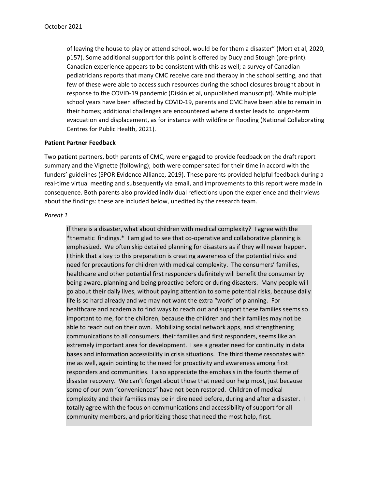of leaving the house to play or attend school, would be for them a disaster" (Mort et al, 2020, p157). Some additional support for this point is offered by Ducy and Stough (pre-print). Canadian experience appears to be consistent with this as well; a survey of Canadian pediatricians reports that many CMC receive care and therapy in the school setting, and that few of these were able to access such resources during the school closures brought about in response to the COVID-19 pandemic (Diskin et al, unpublished manuscript). While multiple school years have been affected by COVID-19, parents and CMC have been able to remain in their homes; additional challenges are encountered where disaster leads to longer-term evacuation and displacement, as for instance with wildfire or flooding (National Collaborating Centres for Public Health, 2021).

#### **Patient Partner Feedback**

Two patient partners, both parents of CMC, were engaged to provide feedback on the draft report summary and the Vignette (following); both were compensated for their time in accord with the funders' guidelines (SPOR Evidence Alliance, 2019). These parents provided helpful feedback during a real-time virtual meeting and subsequently via email, and improvements to this report were made in consequence. Both parents also provided individual reflections upon the experience and their views about the findings: these are included below, unedited by the research team.

#### *Parent 1*

If there is a disaster, what about children with medical complexity? I agree with the \*thematic findings.\* I am glad to see that co-operative and collaborative planning is emphasized. We often skip detailed planning for disasters as if they will never happen. I think that a key to this preparation is creating awareness of the potential risks and need for precautions for children with medical complexity. The consumers' families, healthcare and other potential first responders definitely will benefit the consumer by being aware, planning and being proactive before or during disasters. Many people will go about their daily lives, without paying attention to some potential risks, because daily life is so hard already and we may not want the extra "work" of planning. For healthcare and academia to find ways to reach out and support these families seems so important to me, for the children, because the children and their families may not be able to reach out on their own. Mobilizing social network apps, and strengthening communications to all consumers, their families and first responders, seems like an extremely important area for development. I see a greater need for continuity in data bases and information accessibility in crisis situations. The third theme resonates with me as well, again pointing to the need for proactivity and awareness among first responders and communities. I also appreciate the emphasis in the fourth theme of disaster recovery. We can't forget about those that need our help most, just because some of our own "conveniences" have not been restored. Children of medical complexity and their families may be in dire need before, during and after a disaster. I totally agree with the focus on communications and accessibility of support for all community members, and prioritizing those that need the most help, first.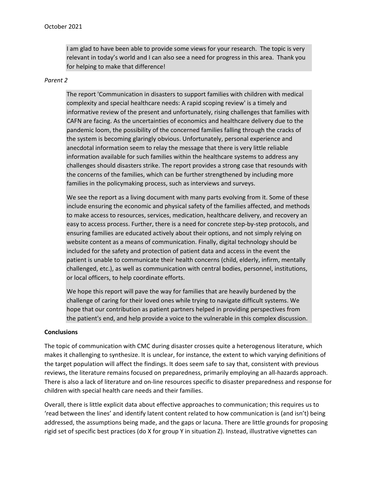I am glad to have been able to provide some views for your research. The topic is very relevant in today's world and I can also see a need for progress in this area. Thank you for helping to make that difference!

#### *Parent 2*

The report 'Communication in disasters to support families with children with medical complexity and special healthcare needs: A rapid scoping review' is a timely and informative review of the present and unfortunately, rising challenges that families with CAFN are facing. As the uncertainties of economics and healthcare delivery due to the pandemic loom, the possibility of the concerned families falling through the cracks of the system is becoming glaringly obvious. Unfortunately, personal experience and anecdotal information seem to relay the message that there is very little reliable information available for such families within the healthcare systems to address any challenges should disasters strike. The report provides a strong case that resounds with the concerns of the families, which can be further strengthened by including more families in the policymaking process, such as interviews and surveys.

We see the report as a living document with many parts evolving from it. Some of these include ensuring the economic and physical safety of the families affected, and methods to make access to resources, services, medication, healthcare delivery, and recovery an easy to access process. Further, there is a need for concrete step-by-step protocols, and ensuring families are educated actively about their options, and not simply relying on website content as a means of communication. Finally, digital technology should be included for the safety and protection of patient data and access in the event the patient is unable to communicate their health concerns (child, elderly, infirm, mentally challenged, etc.), as well as communication with central bodies, personnel, institutions, or local officers, to help coordinate efforts.

We hope this report will pave the way for families that are heavily burdened by the challenge of caring for their loved ones while trying to navigate difficult systems. We hope that our contribution as patient partners helped in providing perspectives from the patient's end, and help provide a voice to the vulnerable in this complex discussion.

#### **Conclusions**

The topic of communication with CMC during disaster crosses quite a heterogenous literature, which makes it challenging to synthesize. It is unclear, for instance, the extent to which varying definitions of the target population will affect the findings. It does seem safe to say that, consistent with previous reviews, the literature remains focused on preparedness, primarily employing an all-hazards approach. There is also a lack of literature and on-line resources specific to disaster preparedness and response for children with special health care needs and their families.

Overall, there is little explicit data about effective approaches to communication; this requires us to 'read between the lines' and identify latent content related to how communication is (and isn't) being addressed, the assumptions being made, and the gaps or lacuna. There are little grounds for proposing rigid set of specific best practices (do X for group Y in situation Z). Instead, illustrative vignettes can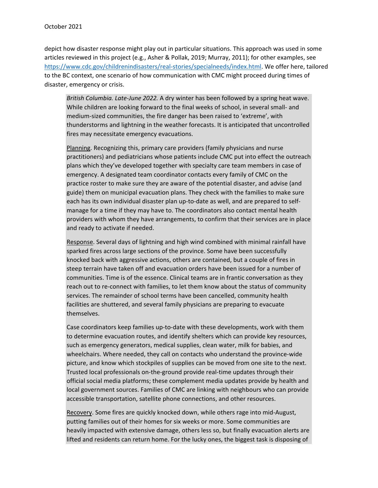depict how disaster response might play out in particular situations. This approach was used in some articles reviewed in this project (e.g., Asher & Pollak, 2019; Murray, 2011); for other examples, see [https://www.cdc.gov/childrenindisasters/real-stories/specialneeds/index.html.](https://www.cdc.gov/childrenindisasters/real-stories/specialneeds/index.html) We offer here, tailored to the BC context, one scenario of how communication with CMC might proceed during times of disaster, emergency or crisis.

*British Columbia. Late-June 2022.* A dry winter has been followed by a spring heat wave. While children are looking forward to the final weeks of school, in several small- and medium-sized communities, the fire danger has been raised to 'extreme', with thunderstorms and lightning in the weather forecasts. It is anticipated that uncontrolled fires may necessitate emergency evacuations.

Planning. Recognizing this, primary care providers (family physicians and nurse practitioners) and pediatricians whose patients include CMC put into effect the outreach plans which they've developed together with specialty care team members in case of emergency. A designated team coordinator contacts every family of CMC on the practice roster to make sure they are aware of the potential disaster, and advise (and guide) them on municipal evacuation plans. They check with the families to make sure each has its own individual disaster plan up-to-date as well, and are prepared to selfmanage for a time if they may have to. The coordinators also contact mental health providers with whom they have arrangements, to confirm that their services are in place and ready to activate if needed.

Response. Several days of lightning and high wind combined with minimal rainfall have sparked fires across large sections of the province. Some have been successfully knocked back with aggressive actions, others are contained, but a couple of fires in steep terrain have taken off and evacuation orders have been issued for a number of communities. Time is of the essence. Clinical teams are in frantic conversation as they reach out to re-connect with families, to let them know about the status of community services. The remainder of school terms have been cancelled, community health facilities are shuttered, and several family physicians are preparing to evacuate themselves.

Case coordinators keep families up-to-date with these developments, work with them to determine evacuation routes, and identify shelters which can provide key resources, such as emergency generators, medical supplies, clean water, milk for babies, and wheelchairs. Where needed, they call on contacts who understand the province-wide picture, and know which stockpiles of supplies can be moved from one site to the next. Trusted local professionals on-the-ground provide real-time updates through their official social media platforms; these complement media updates provide by health and local government sources. Families of CMC are linking with neighbours who can provide accessible transportation, satellite phone connections, and other resources.

Recovery. Some fires are quickly knocked down, while others rage into mid-August, putting families out of their homes for six weeks or more. Some communities are heavily impacted with extensive damage, others less so, but finally evacuation alerts are lifted and residents can return home. For the lucky ones, the biggest task is disposing of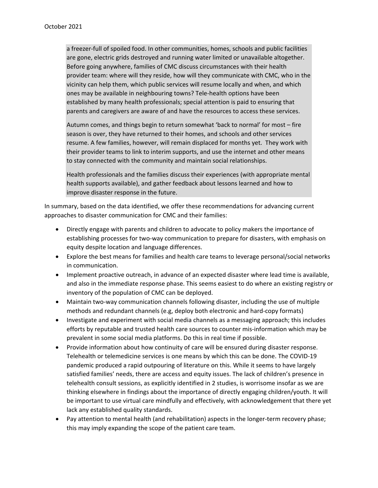a freezer-full of spoiled food. In other communities, homes, schools and public facilities are gone, electric grids destroyed and running water limited or unavailable altogether. Before going anywhere, families of CMC discuss circumstances with their health provider team: where will they reside, how will they communicate with CMC, who in the vicinity can help them, which public services will resume locally and when, and which ones may be available in neighbouring towns? Tele-health options have been established by many health professionals; special attention is paid to ensuring that parents and caregivers are aware of and have the resources to access these services.

Autumn comes, and things begin to return somewhat 'back to normal' for most – fire season is over, they have returned to their homes, and schools and other services resume. A few families, however, will remain displaced for months yet. They work with their provider teams to link to interim supports, and use the internet and other means to stay connected with the community and maintain social relationships.

Health professionals and the families discuss their experiences (with appropriate mental health supports available), and gather feedback about lessons learned and how to improve disaster response in the future.

In summary, based on the data identified, we offer these recommendations for advancing current approaches to disaster communication for CMC and their families:

- Directly engage with parents and children to advocate to policy makers the importance of establishing processes for two-way communication to prepare for disasters, with emphasis on equity despite location and language differences.
- Explore the best means for families and health care teams to leverage personal/social networks in communication.
- Implement proactive outreach, in advance of an expected disaster where lead time is available, and also in the immediate response phase. This seems easiest to do where an existing registry or inventory of the population of CMC can be deployed.
- Maintain two-way communication channels following disaster, including the use of multiple methods and redundant channels (e.g, deploy both electronic and hard-copy formats)
- Investigate and experiment with social media channels as a messaging approach; this includes efforts by reputable and trusted health care sources to counter mis-information which may be prevalent in some social media platforms. Do this in real time if possible.
- Provide information about how continuity of care will be ensured during disaster response. Telehealth or telemedicine services is one means by which this can be done. The COVID-19 pandemic produced a rapid outpouring of literature on this. While it seems to have largely satisfied families' needs, there are access and equity issues. The lack of children's presence in telehealth consult sessions, as explicitly identified in 2 studies, is worrisome insofar as we are thinking elsewhere in findings about the importance of directly engaging children/youth. It will be important to use virtual care mindfully and effectively, with acknowledgement that there yet lack any established quality standards.
- Pay attention to mental health (and rehabilitation) aspects in the longer-term recovery phase; this may imply expanding the scope of the patient care team.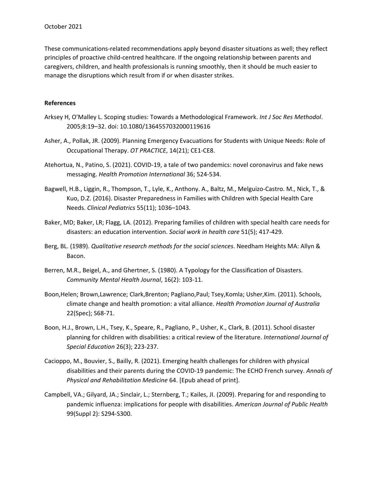These communications-related recommendations apply beyond disaster situations as well; they reflect principles of proactive child-centred healthcare. If the ongoing relationship between parents and caregivers, children, and health professionals is running smoothly, then it should be much easier to manage the disruptions which result from if or when disaster strikes.

#### **References**

- Arksey H, O'Malley L. Scoping studies: Towards a Methodological Framework. *Int J Soc Res Methodol*. 2005;8:19–32. doi: 10.1080/1364557032000119616
- Asher, A., Pollak, JR. (2009). Planning Emergency Evacuations for Students with Unique Needs: Role of Occupational Therapy. *OT PRACTICE*, 14(21); CE1-CE8.
- Atehortua, N., Patino, S. (2021). COVID-19, a tale of two pandemics: novel coronavirus and fake news messaging. *Health Promotion International* 36; 524-534.
- Bagwell, H.B., Liggin, R., Thompson, T., Lyle, K., Anthony. A., Baltz, M., Melguizo-Castro. M., Nick, T., & Kuo, D.Z. (2016). Disaster Preparedness in Families with Children with Special Health Care Needs. *Clinical Pediatrics* 55(11); 1036–1043.
- Baker, MD; Baker, LR; Flagg, LA. (2012). Preparing families of children with special health care needs for disasters: an education intervention. *Social work in health care* 51(5); 417-429.
- Berg, BL. (1989). *Qualitative research methods for the social sciences*. Needham Heights MA: Allyn & Bacon.
- Berren, M.R., Beigel, A., and Ghertner, S. (1980). A Typology for the Classification of Disasters. *Community Mental Health Journal*, 16(2): 103-11.
- Boon,Helen; Brown,Lawrence; Clark,Brenton; Pagliano,Paul; Tsey,Komla; Usher,Kim. (2011). Schools, climate change and health promotion: a vital alliance. *Health Promotion Journal of Australia* 22(Spec); S68-71.
- Boon, H.J., Brown, L.H., Tsey, K., Speare, R., Pagliano, P., Usher, K., Clark, B. (2011). School disaster planning for children with disabilities: a critical review of the literature. *International Journal of Special Education* 26(3); 223-237.
- Cacioppo, M., Bouvier, S., Bailly, R. (2021). Emerging health challenges for children with physical disabilities and their parents during the COVID-19 pandemic: The ECHO French survey. *Annals of Physical and Rehabilitation Medicine* 64. [Epub ahead of print].
- Campbell, VA.; Gilyard, JA.; Sinclair, L.; Sternberg, T.; Kailes, JI. (2009). Preparing for and responding to pandemic influenza: implications for people with disabilities. *American Journal of Public Health* 99(Suppl 2): S294-S300.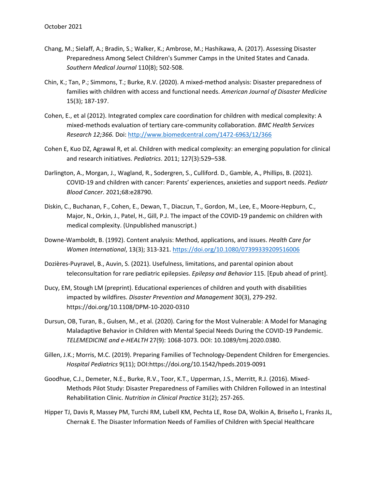- Chang, M.; Sielaff, A.; Bradin, S.; Walker, K.; Ambrose, M.; Hashikawa, A. (2017). Assessing Disaster Preparedness Among Select Children's Summer Camps in the United States and Canada. *Southern Medical Journal* 110(8); 502-508.
- Chin, K.; Tan, P.; Simmons, T.; Burke, R.V. (2020). A mixed-method analysis: Disaster preparedness of families with children with access and functional needs. *American Journal of Disaster Medicine* 15(3); 187-197.
- Cohen, E., et al (2012). Integrated complex care coordination for children with medical complexity: A mixed-methods evaluation of tertiary care-community collaboration. *BMC Health Services Research 12;366.* Doi[: http://www.biomedcentral.com/1472-6963/12/366](http://www.biomedcentral.com/1472-6963/12/366)
- Cohen E, Kuo DZ, Agrawal R, et al. Children with medical complexity: an emerging population for clinical and research initiatives. *Pediatrics*. 2011; 127(3):529–538.
- Darlington, A., Morgan, J., Wagland, R., Sodergren, S., Culliford. D., Gamble, A., Phillips, B. (2021). COVID-19 and children with cancer: Parents' experiences, anxieties and support needs. *Pediatr Blood Cancer*. 2021;68:e28790.
- Diskin, C., Buchanan, F., Cohen, E., Dewan, T., Diaczun, T., Gordon, M., Lee, E., Moore-Hepburn, C., Major, N., Orkin, J., Patel, H., Gill, P.J. The impact of the COVID-19 pandemic on children with medical complexity. (Unpublished manuscript.)
- Downe-Wamboldt, B. (1992). Content analysis: Method, applications, and issues. *Health Care for Women International*, 13(3); 313-321.<https://doi.org/10.1080/07399339209516006>
- Dozières-Puyravel, B., Auvin, S. (2021). Usefulness, limitations, and parental opinion about teleconsultation for rare pediatric epilepsies. *Epilepsy and Behavior* 115. [Epub ahead of print].
- Ducy, EM, Stough LM (preprint). Educational experiences of children and youth with disabilities impacted by wildfires. *Disaster Prevention and Management* 30(3), 279-292. https://doi.org/10.1108/DPM-10-2020-0310
- Dursun, OB, Turan, B., Gulsen, M., et al. (2020). Caring for the Most Vulnerable: A Model for Managing Maladaptive Behavior in Children with Mental Special Needs During the COVID-19 Pandemic. *TELEMEDICINE and e-HEALTH* 27(9): 1068-1073. DOI: 10.1089/tmj.2020.0380.
- Gillen, J.K.; Morris, M.C. (2019). Preparing Families of Technology-Dependent Children for Emergencies. *Hospital Pediatrics* 9(11); DOI:https://doi.org/10.1542/hpeds.2019-0091
- Goodhue, C.J., Demeter, N.E., Burke, R.V., Toor, K.T., Upperman, J.S., Merritt, R.J. (2016). Mixed-Methods Pilot Study: Disaster Preparedness of Families with Children Followed in an Intestinal Rehabilitation Clinic. *Nutrition in Clinical Practice* 31(2); 257-265.
- Hipper TJ, Davis R, Massey PM, Turchi RM, Lubell KM, Pechta LE, Rose DA, Wolkin A, Briseño L, Franks JL, Chernak E. The Disaster Information Needs of Families of Children with Special Healthcare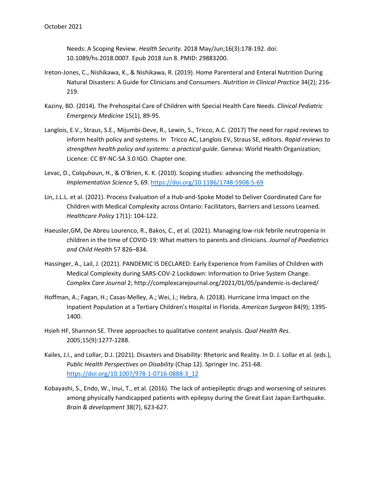Needs: A Scoping Review. *Health Security.* 2018 May/Jun;16(3):178-192. doi: 10.1089/hs.2018.0007. Epub 2018 Jun 8. PMID: 29883200.

- Ireton-Jones, C., Nishikawa, K., & Nishikawa, R. (2019). Home Parenteral and Enteral Nutrition During Natural Disasters: A Guide for Clinicians and Consumers. *Nutrition in Clinical Practice* 34(2); 216- 219.
- Kaziny, BD. (2014). The Prehospital Care of Children with Special Health Care Needs. *Clinical Pediatric Emergency Medicine* 15(1), 89-95.
- Langlois, E.V., Straus, S.E., Mijumbi-Deve, R., Lewin, S., Tricco, A.C. (2017) The need for rapid reviews to inform health policy and systems. In Tricco AC, Langlois EV, Straus SE, editors. *Rapid reviews to strengthen health policy and systems: a practical guide*. Geneva: World Health Organization; Licence: CC BY-NC-SA 3.0 IGO. Chapter one.
- Levac, D., Colquhoun, H., & O'Brien, K. K. (2010). Scoping studies: advancing the methodology. *Implementation Science* 5, 69.<https://doi.org/10.1186/1748-5908-5-69>
- Lin, J.L.L. et al. (2021). Process Evaluation of a Hub-and-Spoke Model to Deliver Coordinated Care for Children with Medical Complexity across Ontario: Facilitators, Barriers and Lessons Learned. *Healthcare Policy* 17(1): 104-122.
- Haeusler,GM, De Abreu Lourenco, R., Bakos, C., et al. (2021). Managing low-risk febrile neutropenia in children in the time of COVID-19: What matters to parents and clinicians. *Journal of Paediatrics and Child Health* 57 826–834.
- Hassinger, A., Lail, J. (2021). PANDEMIC IS DECLARED: Early Experience from Families of Children with Medical Complexity during SARS-COV-2 Lockdown: Information to Drive System Change. *Complex Care Journal* 2; http://complexcarejournal.org/2021/01/05/pandemic-is-declared/
- Hoffman, A.; Fagan, H.; Casas-Melley, A.; Wei, J.; Hebra, A. (2018). Hurricane Irma Impact on the Inpatient Population at a Tertiary Children's Hospital in Florida. *American Surgeon* 84(9); 1395- 1400.
- Hsieh HF, Shannon SE. Three approaches to qualitative content analysis. *Qual Health Res*. 2005;15(9):1277-1288.
- Kailes, J.I., and Lollar, D.J. (2021). Disasters and Disability: Rhetoric and Reality. In D. J. Lollar et al. (eds.), *Public Health Perspectives on Disability* (Chap 12). Springer Inc. 251-68. [https://doi.org/10.1007/978-1-0716-0888-3\\_12](https://doi.org/10.1007/978-1-0716-0888-3_12)
- Kobayashi, S., Endo, W., Inui, T., et al. (2016). The lack of antiepileptic drugs and worsening of seizures among physically handicapped patients with epilepsy during the Great East Japan Earthquake. *Brain & development* 38(7), 623-627.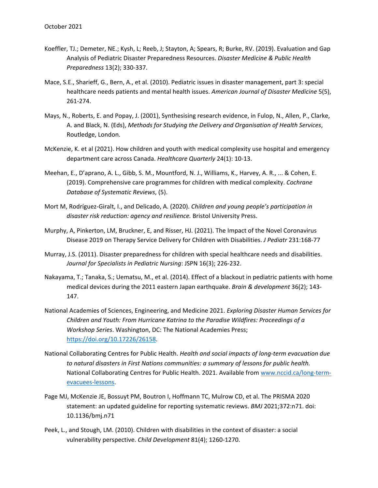- Koeffler, TJ.; Demeter, NE.; Kysh, L; Reeb, J; Stayton, A; Spears, R; Burke, RV. (2019). Evaluation and Gap Analysis of Pediatric Disaster Preparedness Resources. *Disaster Medicine & Public Health Preparedness* 13(2); 330-337.
- Mace, S.E., Sharieff, G., Bern, A., et al. (2010). Pediatric issues in disaster management, part 3: special healthcare needs patients and mental health issues. *American Journal of Disaster Medicine* 5(5), 261-274.
- Mays, N., Roberts, E. and Popay, J. (2001), Synthesising research evidence, in Fulop, N., Allen, P., Clarke, A. and Black, N. (Eds), *Methods for Studying the Delivery and Organisation of Health Services*, Routledge, London.
- McKenzie, K. et al (2021). How children and youth with medical complexity use hospital and emergency department care across Canada. *Healthcare Quarterly* 24(1): 10-13.
- Meehan, E., D'aprano, A. L., Gibb, S. M., Mountford, N. J., Williams, K., Harvey, A. R., ... & Cohen, E. (2019). Comprehensive care programmes for children with medical complexity. *Cochrane Database of Systematic Reviews*, (5).
- Mort M, Rodríguez-Giralt, I., and Delicado, A. (2020). *Children and young people's participation in disaster risk reduction: agency and resilience.* Bristol University Press.
- Murphy, A, Pinkerton, LM, Bruckner, E, and Risser, HJ. (2021). The Impact of the Novel Coronavirus Disease 2019 on Therapy Service Delivery for Children with Disabilities. *J Pediatr* 231:168-77
- Murray, J.S. (2011). Disaster preparedness for children with special healthcare needs and disabilities. *Journal for Specialists in Pediatric Nursing*: JSPN 16(3); 226-232.
- Nakayama, T.; Tanaka, S.; Uematsu, M., et al. (2014). Effect of a blackout in pediatric patients with home medical devices during the 2011 eastern Japan earthquake. *Brain & development* 36(2); 143- 147.
- National Academies of Sciences, Engineering, and Medicine 2021. *Exploring Disaster Human Services for Children and Youth: From Hurricane Katrina to the Paradise Wildfires: Proceedings of a Workshop Series*. Washington, DC: The National Academies Press; [https://doi.org/10.17226/26158.](https://doi.org/10.17226/26158)
- National Collaborating Centres for Public Health. *Health and social impacts of long-term evacuation due to natural disasters in First Nations communities: a summary of lessons for public health.* National Collaborating Centres for Public Health. 2021. Available from [www.nccid.ca/long-term](http://www.nccid.ca/long-term-evacuees-lessons)[evacuees-lessons.](http://www.nccid.ca/long-term-evacuees-lessons)
- Page MJ, McKenzie JE, Bossuyt PM, Boutron I, Hoffmann TC, Mulrow CD, et al. The PRISMA 2020 statement: an updated guideline for reporting systematic reviews. *BMJ* 2021;372:n71. doi: 10.1136/bmj.n71
- Peek, L., and Stough, LM. (2010). Children with disabilities in the context of disaster: a social vulnerability perspective. *Child Development* 81(4); 1260-1270.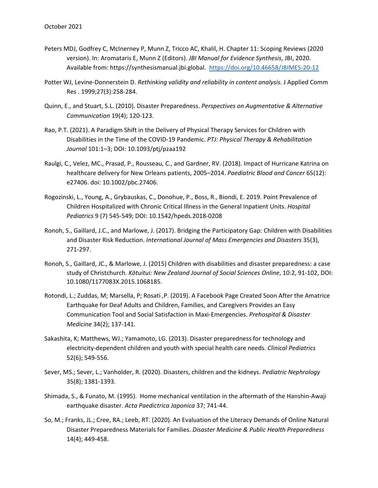- Peters MDJ, Godfrey C, McInerney P, Munn Z, Tricco AC, Khalil, H. Chapter 11: Scoping Reviews (2020 version). In: Aromataris E, Munn Z (Editors). *JBI Manual for Evidence Synthesis*, JBI, 2020. Available from: https://synthesismanual.jbi.global. <https://doi.org/10.46658/JBIMES-20-12>
- Potter WJ, Levine-Donnerstein D. *Rethinking validity and reliability in content analysis.* J Applied Comm Res . 1999;27(3):258-284.
- Quinn, E., and Stuart, S.L. (2010). Disaster Preparedness. *Perspectives on Augmentative & Alternative Communication* 19(4); 120-123.
- Rao, P.T. (2021). A Paradigm Shift in the Delivery of Physical Therapy Services for Children with Disabilities in the Time of the COVID-19 Pandemic. *PTJ: Physical Therapy & Rehabilitation Journal* 101:1–3; DOI: 10.1093/ptj/pzaa192
- Raulgi, C., Velez, MC., Prasad, P., Rousseau, C., and Gardner, RV. (2018). Impact of Hurricane Katrina on healthcare delivery for New Orleans patients, 2005–2014. *Paediatric Blood and Cancer* 65(12): e27406. doi: 10.1002/pbc.27406.
- Rogozinski, L., Young, A., Grybauskas, C., Donohue, P., Boss, R., Biondi, E. 2019. Point Prevalence of Children Hospitalized with Chronic Critical Illness in the General Inpatient Units. *Hospital Pediatrics* 9 (7) 545-549; DOI: 10.1542/hpeds.2018-0208
- Ronoh, S., Gaillard, J.C., and Marlowe, J. (2017). Bridging the Participatory Gap: Children with Disabilities and Disaster Risk Reduction. *International Journal of Mass Emergencies and Disasters* 35(3), 271-297.
- Ronoh, S., Gaillard, JC., & Marlowe, J. (2015) Children with disabilities and disaster preparedness: a case study of Christchurch. *Kōtuitui: New Zealand Journal of Social Sciences Online*, 10:2, 91-102, DOI: 10.1080/1177083X.2015.1068185.
- Rotondi, L.; Zuddas, M; Marsella, P; Rosati ,P. (2019). A Facebook Page Created Soon After the Amatrice Earthquake for Deaf Adults and Children, Families, and Caregivers Provides an Easy Communication Tool and Social Satisfaction in Maxi-Emergencies. *Prehospital & Disaster Medicine* 34(2); 137-141.
- Sakashita, K; Matthews, WJ.; Yamamoto, LG. (2013). Disaster preparedness for technology and electricity-dependent children and youth with special health care needs. *Clinical Pediatrics* 52(6); 549-556.
- Sever, MS.; Sever, L.; Vanholder, R. (2020). Disasters, children and the kidneys. *Pediatric Nephrology* 35(8); 1381-1393.
- Shimada, S., & Funato, M. (1995). Home mechanical ventilation in the aftermath of the Hanshin-Awaji earthquake disaster. *Acta Paedictrica Japonica* 37; 741-44.
- So, M.; Franks, JL.; Cree, RA.; Leeb, RT. (2020). An Evaluation of the Literacy Demands of Online Natural Disaster Preparedness Materials for Families. *Disaster Medicine & Public Health Preparedness* 14(4); 449-458.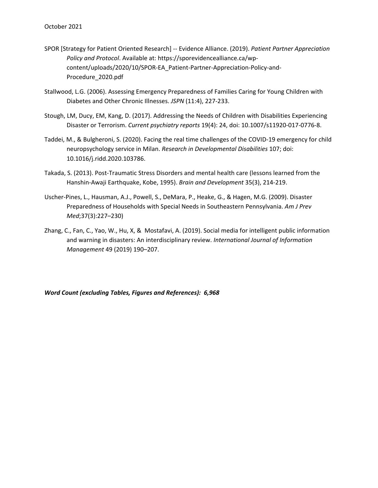- SPOR [Strategy for Patient Oriented Research] -- Evidence Alliance. (2019). *Patient Partner Appreciation Policy and Protocol*. Available at: https://sporevidencealliance.ca/wpcontent/uploads/2020/10/SPOR-EA\_Patient-Partner-Appreciation-Policy-and-Procedure\_2020.pdf
- Stallwood, L.G. (2006). Assessing Emergency Preparedness of Families Caring for Young Children with Diabetes and Other Chronic Illnesses. *JSPN* (11:4), 227-233.
- Stough, LM, Ducy, EM, Kang, D. (2017). Addressing the Needs of Children with Disabilities Experiencing Disaster or Terrorism. *Current psychiatry reports* 19(4): 24, doi: 10.1007/s11920-017-0776-8.
- Taddei, M., & Bulgheroni, S. (2020). Facing the real time challenges of the COVID-19 emergency for child neuropsychology service in Milan. *Research in Developmental Disabilities* 107; doi: 10.1016/j.ridd.2020.103786.
- Takada, S. (2013). Post-Traumatic Stress Disorders and mental health care (lessons learned from the Hanshin-Awaji Earthquake, Kobe, 1995). *Brain and Development* 35(3), 214-219.
- Uscher-Pines, L., Hausman, A.J., Powell, S., DeMara, P., Heake, G., & Hagen, M.G. (2009). Disaster Preparedness of Households with Special Needs in Southeastern Pennsylvania. *Am J Prev Med*;37(3):227–230)
- Zhang, C., Fan, C., Yao, W., Hu, X, & Mostafavi, A. (2019). Social media for intelligent public information and warning in disasters: An interdisciplinary review. *International Journal of Information Management* 49 (2019) 190–207.

*Word Count (excluding Tables, Figures and References): 6,968*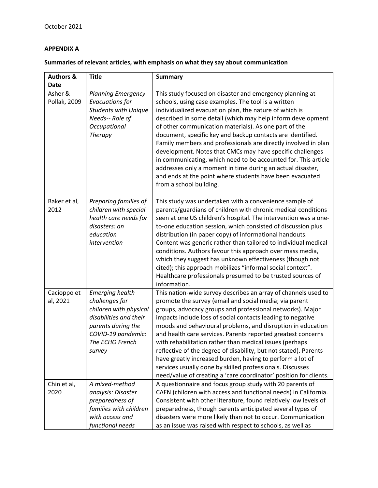# **APPENDIX A**

| Summaries of relevant articles, with emphasis on what they say about communication |  |  |
|------------------------------------------------------------------------------------|--|--|
|------------------------------------------------------------------------------------|--|--|

| <b>Authors &amp;</b><br><b>Date</b> | <b>Title</b>                                                                                                                                                          | <b>Summary</b>                                                                                                                                                                                                                                                                                                                                                                                                                                                                                                                                                                                                                                                                                                        |
|-------------------------------------|-----------------------------------------------------------------------------------------------------------------------------------------------------------------------|-----------------------------------------------------------------------------------------------------------------------------------------------------------------------------------------------------------------------------------------------------------------------------------------------------------------------------------------------------------------------------------------------------------------------------------------------------------------------------------------------------------------------------------------------------------------------------------------------------------------------------------------------------------------------------------------------------------------------|
| Asher &<br>Pollak, 2009             | <b>Planning Emergency</b><br>Evacuations for<br><b>Students with Unique</b><br>Needs-- Role of<br>Occupational<br><b>Therapy</b>                                      | This study focused on disaster and emergency planning at<br>schools, using case examples. The tool is a written<br>individualized evacuation plan, the nature of which is<br>described in some detail (which may help inform development<br>of other communication materials). As one part of the<br>document, specific key and backup contacts are identified.<br>Family members and professionals are directly involved in plan<br>development. Notes that CMCs may have specific challenges<br>in communicating, which need to be accounted for. This article<br>addresses only a moment in time during an actual disaster,<br>and ends at the point where students have been evacuated<br>from a school building. |
| Baker et al,<br>2012                | Preparing families of<br>children with special<br>health care needs for<br>disasters: an<br>education<br>intervention                                                 | This study was undertaken with a convenience sample of<br>parents/guardians of children with chronic medical conditions<br>seen at one US children's hospital. The intervention was a one-<br>to-one education session, which consisted of discussion plus<br>distribution (in paper copy) of informational handouts.<br>Content was generic rather than tailored to individual medical<br>conditions. Authors favour this approach over mass media,<br>which they suggest has unknown effectiveness (though not<br>cited); this approach mobilizes "informal social context".<br>Healthcare professionals presumed to be trusted sources of<br>information.                                                          |
| Cacioppo et<br>al, 2021             | <b>Emerging health</b><br>challenges for<br>children with physical<br>disabilities and their<br>parents during the<br>COVID-19 pandemic:<br>The ECHO French<br>survey | This nation-wide survey describes an array of channels used to<br>promote the survey (email and social media; via parent<br>groups, advocacy groups and professional networks). Major<br>impacts include loss of social contacts leading to negative<br>moods and behavioural problems, and disruption in education<br>and health care services. Parents reported greatest concerns<br>with rehabilitation rather than medical issues (perhaps<br>reflective of the degree of disability, but not stated). Parents<br>have greatly increased burden, having to perform a lot of<br>services usually done by skilled professionals. Discusses<br>need/value of creating a 'care coordinator' position for clients.     |
| Chin et al,<br>2020                 | A mixed-method<br>analysis: Disaster<br>preparedness of<br>families with children<br>with access and<br>functional needs                                              | A questionnaire and focus group study with 20 parents of<br>CAFN (children with access and functional needs) in California.<br>Consistent with other literature, found relatively low levels of<br>preparedness, though parents anticipated several types of<br>disasters were more likely than not to occur. Communication<br>as an issue was raised with respect to schools, as well as                                                                                                                                                                                                                                                                                                                             |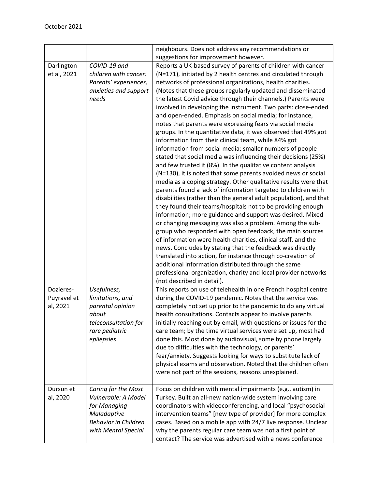|             |                             | neighbours. Does not address any recommendations or                                                                   |
|-------------|-----------------------------|-----------------------------------------------------------------------------------------------------------------------|
|             |                             | suggestions for improvement however.                                                                                  |
| Darlington  | COVID-19 and                | Reports a UK-based survey of parents of children with cancer                                                          |
| et al, 2021 | children with cancer:       | (N=171), initiated by 2 health centres and circulated through                                                         |
|             | Parents' experiences,       | networks of professional organizations, health charities.                                                             |
|             | anxieties and support       | (Notes that these groups regularly updated and disseminated                                                           |
|             | needs                       | the latest Covid advice through their channels.) Parents were                                                         |
|             |                             | involved in developing the instrument. Two parts: close-ended                                                         |
|             |                             | and open-ended. Emphasis on social media; for instance,                                                               |
|             |                             | notes that parents were expressing fears via social media                                                             |
|             |                             | groups. In the quantitative data, it was observed that 49% got                                                        |
|             |                             | information from their clinical team, while 84% got                                                                   |
|             |                             | information from social media; smaller numbers of people                                                              |
|             |                             | stated that social media was influencing their decisions (25%)                                                        |
|             |                             | and few trusted it (8%). In the qualitative content analysis                                                          |
|             |                             | (N=130), it is noted that some parents avoided news or social                                                         |
|             |                             | media as a coping strategy. Other qualitative results were that                                                       |
|             |                             | parents found a lack of information targeted to children with                                                         |
|             |                             | disabilities (rather than the general adult population), and that                                                     |
|             |                             | they found their teams/hospitals not to be providing enough                                                           |
|             |                             | information; more guidance and support was desired. Mixed                                                             |
|             |                             | or changing messaging was also a problem. Among the sub-                                                              |
|             |                             | group who responded with open feedback, the main sources                                                              |
|             |                             | of information were health charities, clinical staff, and the                                                         |
|             |                             | news. Concludes by stating that the feedback was directly                                                             |
|             |                             | translated into action, for instance through co-creation of                                                           |
|             |                             | additional information distributed through the same<br>professional organization, charity and local provider networks |
|             |                             | (not described in detail).                                                                                            |
| Dozieres-   | Usefulness,                 | This reports on use of telehealth in one French hospital centre                                                       |
| Puyravel et | limitations, and            | during the COVID-19 pandemic. Notes that the service was                                                              |
| al, 2021    | parental opinion            | completely not set up prior to the pandemic to do any virtual                                                         |
|             | about                       | health consultations. Contacts appear to involve parents                                                              |
|             | teleconsultation for        | initially reaching out by email, with questions or issues for the                                                     |
|             | rare pediatric              | care team; by the time virtual services were set up, most had                                                         |
|             | epilepsies                  | done this. Most done by audiovisual, some by phone largely                                                            |
|             |                             | due to difficulties with the technology, or parents'                                                                  |
|             |                             | fear/anxiety. Suggests looking for ways to substitute lack of                                                         |
|             |                             | physical exams and observation. Noted that the children often                                                         |
|             |                             | were not part of the sessions, reasons unexplained.                                                                   |
|             |                             |                                                                                                                       |
| Dursun et   | Caring for the Most         | Focus on children with mental impairments (e.g., autism) in                                                           |
| al, 2020    | Vulnerable: A Model         | Turkey. Built an all-new nation-wide system involving care                                                            |
|             | for Managing                | coordinators with videoconferencing, and local "psychosocial                                                          |
|             | Maladaptive                 | intervention teams" [new type of provider] for more complex                                                           |
|             | <b>Behavior in Children</b> | cases. Based on a mobile app with 24/7 live response. Unclear                                                         |
|             | with Mental Special         | why the parents regular care team was not a first point of                                                            |
|             |                             | contact? The service was advertised with a news conference                                                            |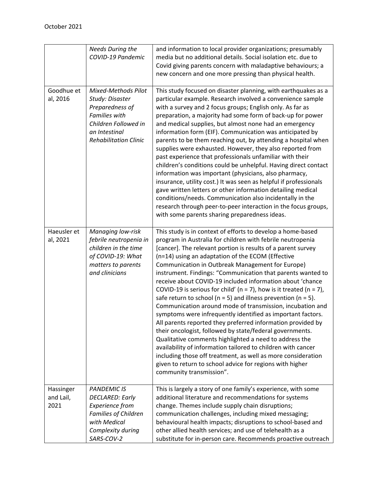|                                | <b>Needs During the</b><br>COVID-19 Pandemic                                                                                                                      | and information to local provider organizations; presumably<br>media but no additional details. Social isolation etc. due to<br>Covid giving parents concern with maladaptive behaviours; a<br>new concern and one more pressing than physical health.                                                                                                                                                                                                                                                                                                                                                                                                                                                                                                                                                                                                                                                                                                                                                                                                                                                                         |
|--------------------------------|-------------------------------------------------------------------------------------------------------------------------------------------------------------------|--------------------------------------------------------------------------------------------------------------------------------------------------------------------------------------------------------------------------------------------------------------------------------------------------------------------------------------------------------------------------------------------------------------------------------------------------------------------------------------------------------------------------------------------------------------------------------------------------------------------------------------------------------------------------------------------------------------------------------------------------------------------------------------------------------------------------------------------------------------------------------------------------------------------------------------------------------------------------------------------------------------------------------------------------------------------------------------------------------------------------------|
| Goodhue et<br>al, 2016         | <b>Mixed-Methods Pilot</b><br>Study: Disaster<br>Preparedness of<br><b>Families with</b><br>Children Followed in<br>an Intestinal<br><b>Rehabilitation Clinic</b> | This study focused on disaster planning, with earthquakes as a<br>particular example. Research involved a convenience sample<br>with a survey and 2 focus groups; English only. As far as<br>preparation, a majority had some form of back-up for power<br>and medical supplies, but almost none had an emergency<br>information form (EIF). Communication was anticipated by<br>parents to be them reaching out, by attending a hospital when<br>supplies were exhausted. However, they also reported from<br>past experience that professionals unfamiliar with their<br>children's conditions could be unhelpful. Having direct contact<br>information was important (physicians, also pharmacy,<br>insurance, utility cost.) It was seen as helpful if professionals<br>gave written letters or other information detailing medical<br>conditions/needs. Communication also incidentally in the<br>research through peer-to-peer interaction in the focus groups,<br>with some parents sharing preparedness ideas.                                                                                                         |
| Haeusler et<br>al, 2021        | <b>Managing low-risk</b><br>febrile neutropenia in<br>children in the time<br>of COVID-19: What<br>matters to parents<br>and clinicians                           | This study is in context of efforts to develop a home-based<br>program in Australia for children with febrile neutropenia<br>[cancer]. The relevant portion is results of a parent survey<br>(n=14) using an adaptation of the ECOM (Effective<br>Communication in Outbreak Management for Europe)<br>instrument. Findings: "Communication that parents wanted to<br>receive about COVID-19 included information about 'chance<br>COVID-19 is serious for child' ( $n = 7$ ), how is it treated ( $n = 7$ ),<br>safe return to school ( $n = 5$ ) and illness prevention ( $n = 5$ ).<br>Communication around mode of transmission, incubation and<br>symptoms were infrequently identified as important factors.<br>All parents reported they preferred information provided by<br>their oncologist, followed by state/federal governments.<br>Qualitative comments highlighted a need to address the<br>availability of information tailored to children with cancer<br>including those off treatment, as well as more consideration<br>given to return to school advice for regions with higher<br>community transmission". |
| Hassinger<br>and Lail,<br>2021 | <b>PANDEMIC IS</b><br><b>DECLARED: Early</b><br><b>Experience from</b><br><b>Families of Children</b><br>with Medical<br>Complexity during<br>SARS-COV-2          | This is largely a story of one family's experience, with some<br>additional literature and recommendations for systems<br>change. Themes include supply chain disruptions;<br>communication challenges, including mixed messaging;<br>behavioural health impacts; disruptions to school-based and<br>other allied health services; and use of telehealth as a<br>substitute for in-person care. Recommends proactive outreach                                                                                                                                                                                                                                                                                                                                                                                                                                                                                                                                                                                                                                                                                                  |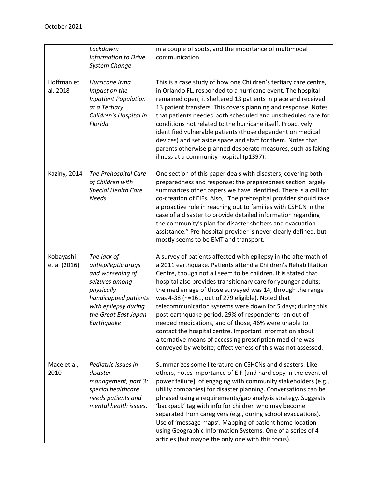|                           | Lockdown:<br>Information to Drive<br>System Change                                                                                                                           | in a couple of spots, and the importance of multimodal<br>communication.                                                                                                                                                                                                                                                                                                                                                                                                                                                                                                                                                                                                                                                                                       |
|---------------------------|------------------------------------------------------------------------------------------------------------------------------------------------------------------------------|----------------------------------------------------------------------------------------------------------------------------------------------------------------------------------------------------------------------------------------------------------------------------------------------------------------------------------------------------------------------------------------------------------------------------------------------------------------------------------------------------------------------------------------------------------------------------------------------------------------------------------------------------------------------------------------------------------------------------------------------------------------|
| Hoffman et<br>al, 2018    | Hurricane Irma<br>Impact on the<br><b>Inpatient Population</b><br>at a Tertiary<br>Children's Hospital in<br>Florida                                                         | This is a case study of how one Children's tertiary care centre,<br>in Orlando FL, responded to a hurricane event. The hospital<br>remained open; it sheltered 13 patients in place and received<br>13 patient transfers. This covers planning and response. Notes<br>that patients needed both scheduled and unscheduled care for<br>conditions not related to the hurricane itself. Proactively<br>identified vulnerable patients (those dependent on medical<br>devices) and set aside space and staff for them. Notes that<br>parents otherwise planned desperate measures, such as faking<br>illness at a community hospital (p1397).                                                                                                                     |
| Kaziny, 2014              | The Prehospital Care<br>of Children with<br>Special Health Care<br><b>Needs</b>                                                                                              | One section of this paper deals with disasters, covering both<br>preparedness and response; the preparedness section largely<br>summarizes other papers we have identified. There is a call for<br>co-creation of EIFs. Also, "The prehospital provider should take<br>a proactive role in reaching out to families with CSHCN in the<br>case of a disaster to provide detailed information regarding<br>the community's plan for disaster shelters and evacuation<br>assistance." Pre-hospital provider is never clearly defined, but<br>mostly seems to be EMT and transport.                                                                                                                                                                                |
| Kobayashi<br>et al (2016) | The lack of<br>antiepileptic drugs<br>and worsening of<br>seizures among<br>physically<br>handicapped patients<br>with epilepsy during<br>the Great East Japan<br>Earthquake | A survey of patients affected with epilepsy in the aftermath of<br>a 2011 earthquake. Patients attend a Children's Rehabilitation<br>Centre, though not all seem to be children. It is stated that<br>hospital also provides transitionary care for younger adults;<br>the median age of those surveyed was 14, through the range<br>was 4-38 (n=161, out of 279 eligible). Noted that<br>telecommunication systems were down for 5 days; during this<br>post-earthquake period, 29% of respondents ran out of<br>needed medications, and of those, 46% were unable to<br>contact the hospital centre. Important information about<br>alternative means of accessing prescription medicine was<br>conveyed by website; effectiveness of this was not assessed. |
| Mace et al,<br>2010       | Pediatric issues in<br>disaster<br>management, part 3:<br>special healthcare<br>needs patients and<br>mental health issues.                                                  | Summarizes some literature on CSHCNs and disasters. Like<br>others, notes importance of EIF [and hard copy in the event of<br>power failure], of engaging with community stakeholders (e.g.,<br>utility companies) for disaster planning. Conversations can be<br>phrased using a requirements/gap analysis strategy. Suggests<br>'backpack' tag with info for children who may become<br>separated from caregivers (e.g., during school evacuations).<br>Use of 'message maps'. Mapping of patient home location<br>using Geographic Information Systems. One of a series of 4<br>articles (but maybe the only one with this focus).                                                                                                                          |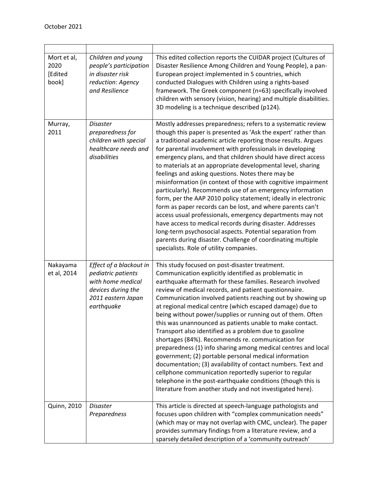| Mort et al,<br>2020<br>[Edited<br>book] | Children and young<br>people's participation<br>in disaster risk<br>reduction: Agency<br>and Resilience                      | This edited collection reports the CUIDAR project (Cultures of<br>Disaster Resilience Among Children and Young People), a pan-<br>European project implemented in 5 countries, which<br>conducted Dialogues with Children using a rights-based<br>framework. The Greek component (n=63) specifically involved<br>children with sensory (vision, hearing) and multiple disabilities.<br>3D modeling is a technique described (p124).                                                                                                                                                                                                                                                                                                                                                                                                                                                                                                                                                                              |
|-----------------------------------------|------------------------------------------------------------------------------------------------------------------------------|------------------------------------------------------------------------------------------------------------------------------------------------------------------------------------------------------------------------------------------------------------------------------------------------------------------------------------------------------------------------------------------------------------------------------------------------------------------------------------------------------------------------------------------------------------------------------------------------------------------------------------------------------------------------------------------------------------------------------------------------------------------------------------------------------------------------------------------------------------------------------------------------------------------------------------------------------------------------------------------------------------------|
| Murray,<br>2011                         | <b>Disaster</b><br>preparedness for<br>children with special<br>healthcare needs and<br>disabilities                         | Mostly addresses preparedness; refers to a systematic review<br>though this paper is presented as 'Ask the expert' rather than<br>a traditional academic article reporting those results. Argues<br>for parental involvement with professionals in developing<br>emergency plans, and that children should have direct access<br>to materials at an appropriate developmental level, sharing<br>feelings and asking questions. Notes there may be<br>misinformation (in context of those with cognitive impairment<br>particularly). Recommends use of an emergency information<br>form, per the AAP 2010 policy statement; ideally in electronic<br>form as paper records can be lost, and where parents can't<br>access usual professionals, emergency departments may not<br>have access to medical records during disaster. Addresses<br>long-term psychosocial aspects. Potential separation from<br>parents during disaster. Challenge of coordinating multiple<br>specialists. Role of utility companies. |
| Nakayama<br>et al, 2014                 | Effect of a blackout in<br>pediatric patients<br>with home medical<br>devices during the<br>2011 eastern Japan<br>earthquake | This study focused on post-disaster treatment.<br>Communication explicitly identified as problematic in<br>earthquake aftermath for these families. Research involved<br>review of medical records, and patient questionnaire.<br>Communication involved patients reaching out by showing up<br>at regional medical centre (which escaped damage) due to<br>being without power/supplies or running out of them. Often<br>this was unannounced as patients unable to make contact.<br>Transport also identified as a problem due to gasoline<br>shortages (84%). Recommends re. communication for<br>preparedness (1) info sharing among medical centres and local<br>government; (2) portable personal medical information<br>documentation; (3) availability of contact numbers. Text and<br>cellphone communication reportedly superior to regular<br>telephone in the post-earthquake conditions (though this is<br>literature from another study and not investigated here).                                |
| Quinn, 2010                             | <b>Disaster</b><br>Preparedness                                                                                              | This article is directed at speech-language pathologists and<br>focuses upon children with "complex communication needs"<br>(which may or may not overlap with CMC, unclear). The paper<br>provides summary findings from a literature review, and a<br>sparsely detailed description of a 'community outreach'                                                                                                                                                                                                                                                                                                                                                                                                                                                                                                                                                                                                                                                                                                  |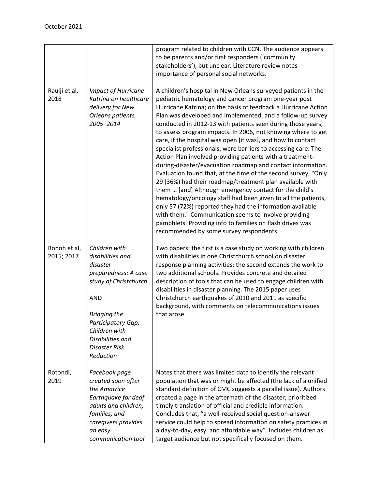|                            |                                                                                                                                                                                                                                            | program related to children with CCN. The audience appears<br>to be parents and/or first responders ('community<br>stakeholders'), but unclear. Literature review notes<br>importance of personal social networks.                                                                                                                                                                                                                                                                                                                                                                                                                                                                                                                                                                                                                                                                                                                                                                                                                                                                                                                       |
|----------------------------|--------------------------------------------------------------------------------------------------------------------------------------------------------------------------------------------------------------------------------------------|------------------------------------------------------------------------------------------------------------------------------------------------------------------------------------------------------------------------------------------------------------------------------------------------------------------------------------------------------------------------------------------------------------------------------------------------------------------------------------------------------------------------------------------------------------------------------------------------------------------------------------------------------------------------------------------------------------------------------------------------------------------------------------------------------------------------------------------------------------------------------------------------------------------------------------------------------------------------------------------------------------------------------------------------------------------------------------------------------------------------------------------|
| Raulji et al,<br>2018      | <b>Impact of Hurricane</b><br>Katrina on healthcare<br>delivery for New<br>Orleans patients,<br>2005-2014                                                                                                                                  | A children's hospital in New Orleans surveyed patients in the<br>pediatric hematology and cancer program one-year post<br>Hurricane Katrina; on the basis of feedback a Hurricane Action<br>Plan was developed and implemented, and a follow-up survey<br>conducted in 2012-13 with patients seen during those years,<br>to assess program impacts. In 2006, not knowing where to get<br>care, if the hospital was open [it was], and how to contact<br>specialist professionals, were barriers to accessing care. The<br>Action Plan involved providing patients with a treatment-<br>during-disaster/evacuation roadmap and contact information.<br>Evaluation found that, at the time of the second survey, "Only<br>29 (36%) had their roadmap/treatment plan available with<br>them  [and] Although emergency contact for the child's<br>hematology/oncology staff had been given to all the patients,<br>only 57 (72%) reported they had the information available<br>with them." Communication seems to involve providing<br>pamphlets. Providing info to families on flash drives was<br>recommended by some survey respondents. |
| Ronoh et al,<br>2015; 2017 | Children with<br>disabilities and<br>disaster<br>preparedness: A case<br>study of Christchurch<br><b>AND</b><br><b>Bridging the</b><br><b>Participatory Gap:</b><br>Children with<br>Disabilities and<br><b>Disaster Risk</b><br>Reduction | Two papers: the first is a case study on working with children<br>with disabilities in one Christchurch school on disaster<br>response planning activities; the second extends the work to<br>two additional schools. Provides concrete and detailed<br>description of tools that can be used to engage children with<br>disabilities in disaster planning. The 2015 paper uses<br>Christchurch earthquakes of 2010 and 2011 as specific<br>background, with comments on telecommunications issues<br>that arose.                                                                                                                                                                                                                                                                                                                                                                                                                                                                                                                                                                                                                        |
| Rotondi,<br>2019           | Facebook page<br>created soon after<br>the Amatrice<br>Earthquake for deaf<br>adults and children,<br>families, and<br>caregivers provides<br>an easy<br>communication tool                                                                | Notes that there was limited data to identify the relevant<br>population that was or might be affected (the lack of a unified<br>standard definition of CMC suggests a parallel issue). Authors<br>created a page in the aftermath of the disaster; prioritized<br>timely translation of official and credible information.<br>Concludes that, "a well-received social question-answer<br>service could help to spread information on safety practices in<br>a day-to-day, easy, and affordable way". Includes children as<br>target audience but not specifically focused on them.                                                                                                                                                                                                                                                                                                                                                                                                                                                                                                                                                      |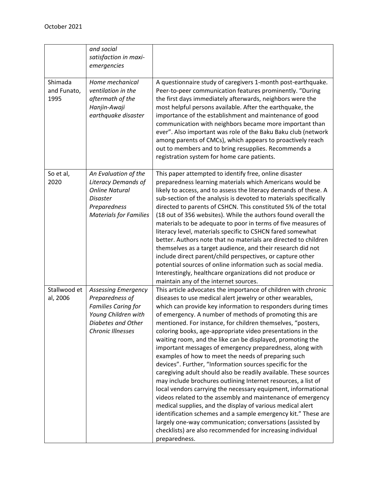|                                | and social<br>satisfaction in maxi-<br>emergencies                                                                                              |                                                                                                                                                                                                                                                                                                                                                                                                                                                                                                                                                                                                                                                                                                                                                                                                                                                                                                                                                                                                                                                                                                                                                                                  |
|--------------------------------|-------------------------------------------------------------------------------------------------------------------------------------------------|----------------------------------------------------------------------------------------------------------------------------------------------------------------------------------------------------------------------------------------------------------------------------------------------------------------------------------------------------------------------------------------------------------------------------------------------------------------------------------------------------------------------------------------------------------------------------------------------------------------------------------------------------------------------------------------------------------------------------------------------------------------------------------------------------------------------------------------------------------------------------------------------------------------------------------------------------------------------------------------------------------------------------------------------------------------------------------------------------------------------------------------------------------------------------------|
| Shimada<br>and Funato,<br>1995 | Home mechanical<br>ventilation in the<br>aftermath of the<br>Hanjin-Awaji<br>earthquake disaster                                                | A questionnaire study of caregivers 1-month post-earthquake.<br>Peer-to-peer communication features prominently. "During<br>the first days immediately afterwards, neighbors were the<br>most helpful persons available. After the earthquake, the<br>importance of the establishment and maintenance of good<br>communication with neighbors became more important than<br>ever". Also important was role of the Baku Baku club (network<br>among parents of CMCs), which appears to proactively reach<br>out to members and to bring resupplies. Recommends a<br>registration system for home care patients.                                                                                                                                                                                                                                                                                                                                                                                                                                                                                                                                                                   |
| So et al,<br>2020              | An Evaluation of the<br><b>Literacy Demands of</b><br><b>Online Natural</b><br><b>Disaster</b><br>Preparedness<br><b>Materials for Families</b> | This paper attempted to identify free, online disaster<br>preparedness learning materials which Americans would be<br>likely to access, and to assess the literacy demands of these. A<br>sub-section of the analysis is devoted to materials specifically<br>directed to parents of CSHCN. This constituted 5% of the total<br>(18 out of 356 websites). While the authors found overall the<br>materials to be adequate to poor in terms of five measures of<br>literacy level, materials specific to CSHCN fared somewhat<br>better. Authors note that no materials are directed to children<br>themselves as a target audience, and their research did not<br>include direct parent/child perspectives, or capture other<br>potential sources of online information such as social media.<br>Interestingly, healthcare organizations did not produce or<br>maintain any of the internet sources.                                                                                                                                                                                                                                                                             |
| Stallwood et<br>al, 2006       | <b>Assessing Emergency</b><br>Preparedness of<br><b>Families Caring for</b><br>Young Children with<br>Diabetes and Other<br>Chronic Illnesses   | This article advocates the importance of children with chronic<br>diseases to use medical alert jewelry or other wearables,<br>which can provide key information to responders during times<br>of emergency. A number of methods of promoting this are<br>mentioned. For instance, for children themselves, "posters,<br>coloring books, age-appropriate video presentations in the<br>waiting room, and the like can be displayed, promoting the<br>important messages of emergency preparedness, along with<br>examples of how to meet the needs of preparing such<br>devices". Further, "Information sources specific for the<br>caregiving adult should also be readily available. These sources<br>may include brochures outlining Internet resources, a list of<br>local vendors carrying the necessary equipment, informational<br>videos related to the assembly and maintenance of emergency<br>medical supplies, and the display of various medical alert<br>identification schemes and a sample emergency kit." These are<br>largely one-way communication; conversations (assisted by<br>checklists) are also recommended for increasing individual<br>preparedness. |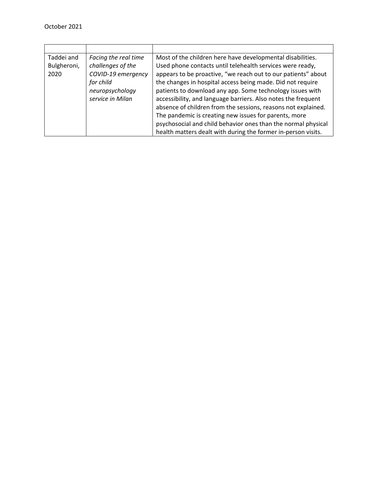| Taddei and  | Facing the real time | Most of the children here have developmental disabilities.    |
|-------------|----------------------|---------------------------------------------------------------|
| Bulgheroni, | challenges of the    | Used phone contacts until telehealth services were ready,     |
| 2020        | COVID-19 emergency   | appears to be proactive, "we reach out to our patients" about |
|             | for child            | the changes in hospital access being made. Did not require    |
|             | neuropsychology      | patients to download any app. Some technology issues with     |
|             | service in Milan     | accessibility, and language barriers. Also notes the frequent |
|             |                      | absence of children from the sessions, reasons not explained. |
|             |                      | The pandemic is creating new issues for parents, more         |
|             |                      | psychosocial and child behavior ones than the normal physical |
|             |                      | health matters dealt with during the former in-person visits. |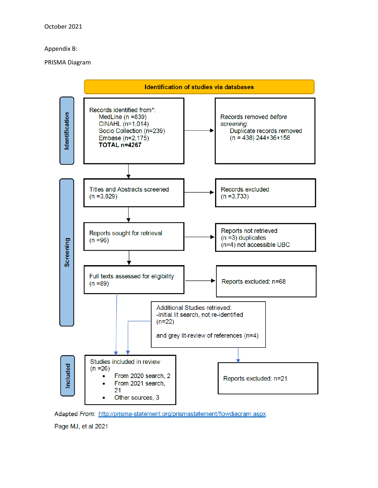#### Appendix B:

#### PRISMA Diagram



Adapted From: http://prisma-statement.org/prismastatement/flowdiagram.aspx

Page MJ, et al 2021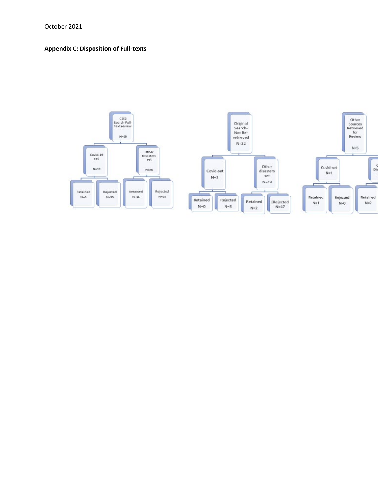# **Appendix C: Disposition of Full-texts**

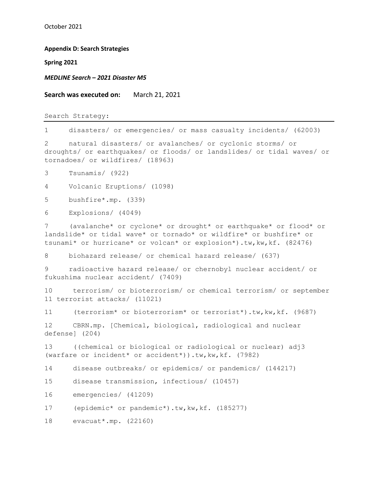**Appendix D: Search Strategies**

**Spring 2021**

*MEDLINE Search – 2021 Disaster M5*

**Search was executed on:** March 21, 2021

Search Strategy:

1 disasters/ or emergencies/ or mass casualty incidents/ (62003)

2 natural disasters/ or avalanches/ or cyclonic storms/ or droughts/ or earthquakes/ or floods/ or landslides/ or tidal waves/ or tornadoes/ or wildfires/ (18963)

3 Tsunamis/ (922)

4 Volcanic Eruptions/ (1098)

5 bushfire\*.mp. (339)

6 Explosions/ (4049)

7 (avalanche\* or cyclone\* or drought\* or earthquake\* or flood\* or landslide\* or tidal wave\* or tornado\* or wildfire\* or bushfire\* or tsunami\* or hurricane\* or volcan\* or explosion\*).tw,kw,kf. (82476)

8 biohazard release/ or chemical hazard release/ (637)

9 radioactive hazard release/ or chernobyl nuclear accident/ or fukushima nuclear accident/ (7409)

10 terrorism/ or bioterrorism/ or chemical terrorism/ or september 11 terrorist attacks/ (11021)

11 (terrorism\* or bioterrorism\* or terrorist\*).tw,kw,kf. (9687)

12 CBRN.mp. [Chemical, biological, radiological and nuclear defense] (204)

13 ((chemical or biological or radiological or nuclear) adj3 (warfare or incident\* or accident\*)).tw,kw,kf. (7982)

14 disease outbreaks/ or epidemics/ or pandemics/ (144217)

15 disease transmission, infectious/ (10457)

16 emergencies/ (41209)

17 (epidemic\* or pandemic\*).tw, kw, kf. (185277)

18 evacuat\*.mp. (22160)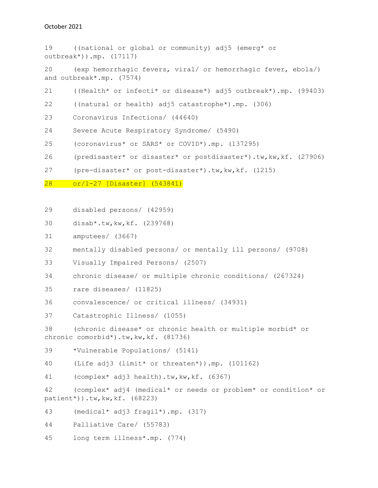| 19                                                                                                         | ((national or global or community) adj5 (emerg* or<br>$outbreak*)$ ).mp. $(17117)$                         |  |
|------------------------------------------------------------------------------------------------------------|------------------------------------------------------------------------------------------------------------|--|
| 20                                                                                                         | (exp hemorrhagic fevers, viral/ or hemorrhagic fever, ebola/)<br>and outbreak*.mp. (7574)                  |  |
| 21                                                                                                         | ((Health* or infecti* or disease*) adj5 outbreak*).mp. (99403)                                             |  |
| 22                                                                                                         | ((natural or health) adj5 catastrophe*).mp. (306)                                                          |  |
| 23                                                                                                         | Coronavirus Infections/ (44640)                                                                            |  |
| 24                                                                                                         | Severe Acute Respiratory Syndrome/ (5490)                                                                  |  |
| 25                                                                                                         | (coronavirus* or SARS* or COVID*).mp. (137295)                                                             |  |
| 26                                                                                                         | (predisaster* or disaster* or postdisaster*).tw, kw, kf. (27906)                                           |  |
| 27                                                                                                         | (pre-disaster* or post-disaster*).tw, kw, kf. (1215)                                                       |  |
| 28                                                                                                         | or/1-27 [Disaster] (543841)                                                                                |  |
|                                                                                                            |                                                                                                            |  |
| 29                                                                                                         | disabled persons/ (42959)                                                                                  |  |
| 30                                                                                                         | disab*.tw, kw, kf. $(239768)$                                                                              |  |
| 31                                                                                                         | amputees/ (3667)                                                                                           |  |
| 32                                                                                                         | mentally disabled persons/ or mentally ill persons/ (9708)                                                 |  |
| 33                                                                                                         | Visually Impaired Persons/ (2507)                                                                          |  |
| 34                                                                                                         | chronic disease/ or multiple chronic conditions/ (267324)                                                  |  |
| 35                                                                                                         | rare diseases/ (11825)                                                                                     |  |
| 36                                                                                                         | convalescence/ or critical illness/ (34931)                                                                |  |
| 37                                                                                                         | Catastrophic Illness/ (1055)                                                                               |  |
| 38<br>(chronic disease* or chronic health or multiple morbid* or<br>chronic comorbid*).tw, kw, kf. (81736) |                                                                                                            |  |
| 39                                                                                                         | *Vulnerable Populations/ (5141)                                                                            |  |
| 40                                                                                                         | (Life adj3 (limit* or threaten*)).mp. (101162)                                                             |  |
| 41                                                                                                         | (complex* adj3 health).tw, kw, kf. (6367)                                                                  |  |
| 42                                                                                                         | (complex* adj4 (medical* or needs or problem* or condition* or<br>$pational(68223)$ .tw, kw, kf. $(68223)$ |  |
| 43                                                                                                         | $(medical* adj3 fragil*).mp. (317)$                                                                        |  |
| 44                                                                                                         | Palliative Care/ (55783)                                                                                   |  |

45 long term illness\*.mp. (774)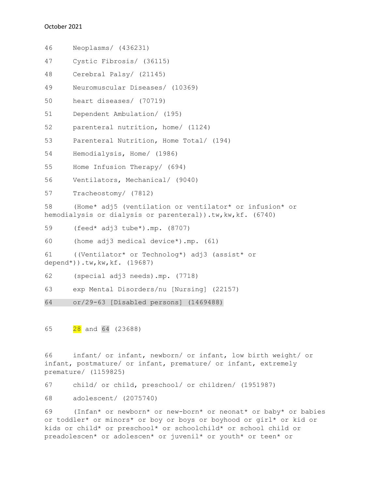46 Neoplasms/ (436231) 47 Cystic Fibrosis/ (36115) 48 Cerebral Palsy/ (21145) 49 Neuromuscular Diseases/ (10369) 50 heart diseases/ (70719) 51 Dependent Ambulation/ (195) 52 parenteral nutrition, home/ (1124) 53 Parenteral Nutrition, Home Total/ (194) 54 Hemodialysis, Home/ (1986) 55 Home Infusion Therapy/ (694) 56 Ventilators, Mechanical/ (9040) 57 Tracheostomy/ (7812) 58 (Home\* adj5 (ventilation or ventilator\* or infusion\* or hemodialysis or dialysis or parenteral)).tw, kw, kf. (6740) 59 (feed\* adj3 tube\*).mp. (8707) 60 (home adj3 medical device\*).mp. (61) 61 ((Ventilator\* or Technolog\*) adj3 (assist\* or depend\*)).tw,kw,kf. (19687) 62 (special adj3 needs).mp. (7718) 63 exp Mental Disorders/nu [Nursing] (22157) 64 or/29-63 [Disabled persons] (1469488)

65 28 and 64 (23688)

66 infant/ or infant, newborn/ or infant, low birth weight/ or infant, postmature/ or infant, premature/ or infant, extremely premature/ (1159825)

67 child/ or child, preschool/ or children/ (1951987)

68 adolescent/ (2075740)

69 (Infan\* or newborn\* or new-born\* or neonat\* or baby\* or babies or toddler\* or minors\* or boy or boys or boyhood or girl\* or kid or kids or child\* or preschool\* or schoolchild\* or school child or preadolescen\* or adolescen\* or juvenil\* or youth\* or teen\* or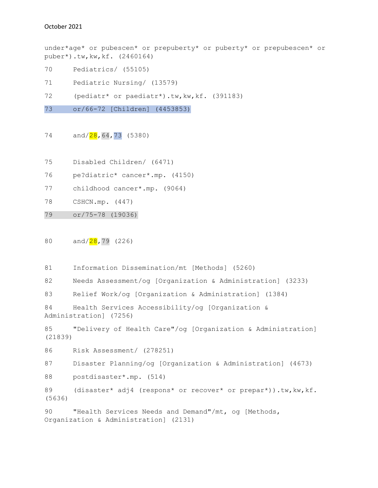under\*age\* or pubescen\* or prepuberty\* or puberty\* or prepubescen\* or puber\*).tw,kw,kf. (2460164)

- 70 Pediatrics/ (55105)
- 71 Pediatric Nursing/ (13579)
- 72 (pediatr\* or paediatr\*).tw, kw, kf. (391183)

73 or/66-72 [Children] (4453853)

74 and/28,64,73 (5380)

- 75 Disabled Children/ (6471)
- 76 pe?diatric\* cancer\*.mp. (4150)
- 77 childhood cancer\*.mp. (9064)
- 78 CSHCN.mp. (447)
- 79 or/75-78 (19036)

80 and/<mark>28</mark>,79 (226)

81 Information Dissemination/mt [Methods] (5260)

82 Needs Assessment/og [Organization & Administration] (3233)

83 Relief Work/og [Organization & Administration] (1384)

```
84 Health Services Accessibility/og [Organization & 
Administration] (7256)
```
85 "Delivery of Health Care"/og [Organization & Administration] (21839)

86 Risk Assessment/ (278251)

87 Disaster Planning/og [Organization & Administration] (4673)

88 postdisaster\*.mp. (514)

89 (disaster\* adj4 (respons\* or recover\* or prepar\*)).tw, kw, kf. (5636)

90 "Health Services Needs and Demand"/mt, og [Methods, Organization & Administration] (2131)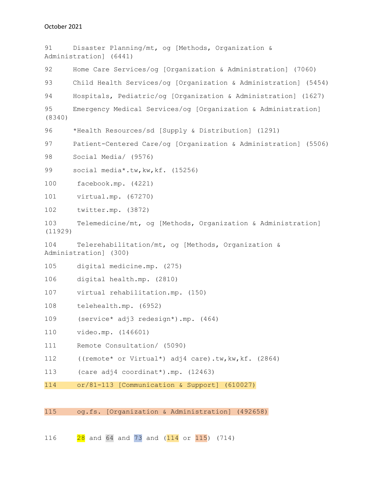91 Disaster Planning/mt, og [Methods, Organization & Administration] (6441) 92 Home Care Services/og [Organization & Administration] (7060) 93 Child Health Services/og [Organization & Administration] (5454) 94 Hospitals, Pediatric/og [Organization & Administration] (1627) 95 Emergency Medical Services/og [Organization & Administration] (8340) 96 \*Health Resources/sd [Supply & Distribution] (1291) 97 Patient-Centered Care/og [Organization & Administration] (5506) 98 Social Media/ (9576) 99 social media\*.tw, kw, kf. (15256) 100 facebook.mp. (4221) 101 virtual.mp. (67270) 102 twitter.mp. (3872) 103 Telemedicine/mt, og [Methods, Organization & Administration] (11929) 104 Telerehabilitation/mt, og [Methods, Organization & Administration] (300) 105 digital medicine.mp. (275) 106 digital health.mp. (2810) 107 virtual rehabilitation.mp. (150) 108 telehealth.mp. (6952) 109 (service\* adj3 redesign\*).mp. (464) 110 video.mp. (146601) 111 Remote Consultation/ (5090) 112 ((remote\* or Virtual\*) adj4 care).tw, kw, kf. (2864) 113 (care adj4 coordinat\*).mp. (12463) 114 or/81-113 [Communication & Support] (610027) 115 og.fs. [Organization & Administration] (492658)

116 28 and 64 and 73 and (114 or 115) (714)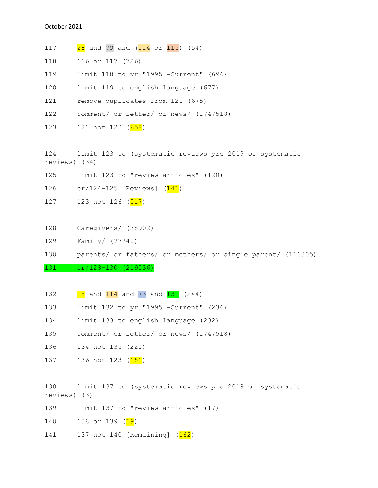117 **28** and 79 and (114 or 115) (54) 118 116 or 117 (726) 119 limit 118 to yr="1995 -Current" (696) 120 limit 119 to english language (677) 121 remove duplicates from 120 (675) 122 comment/ or letter/ or news/ (1747518) 123 121 not 122 (658) 124 limit 123 to (systematic reviews pre 2019 or systematic reviews) (34) 125 limit 123 to "review articles" (120) 126 or/124-125 [Reviews] (141) 127 123 not 126 (517)

- 128 Caregivers/ (38902)
- 129 Family/ (77740)

130 parents/ or fathers/ or mothers/ or single parent/ (116305)

#### 131 or/128-130 (219536)

- 132 28 and 114 and 73 and 131 (244)
- 133 limit 132 to yr="1995 -Current" (236)
- 134 limit 133 to english language (232)
- 135 comment/ or letter/ or news/ (1747518)
- 136 134 not 135 (225)
- 137 136 not 123 (181)

138 limit 137 to (systematic reviews pre 2019 or systematic reviews) (3)

- 139 limit 137 to "review articles" (17)
- 140 138 or 139 (<mark>19</mark>)
- 141 137 not 140 [Remaining] (162)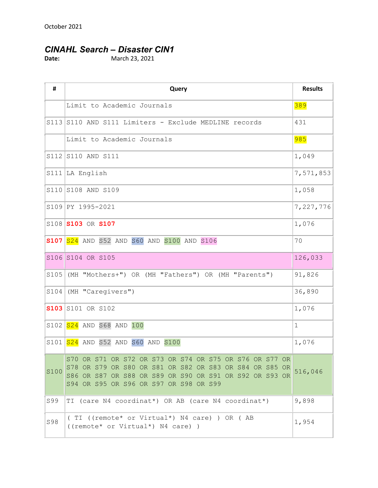# *CINAHL Search – Disaster CIN1*

**Date:** March 23, 2021

| #    | Query                                                                                                                                                                                                                   | <b>Results</b> |
|------|-------------------------------------------------------------------------------------------------------------------------------------------------------------------------------------------------------------------------|----------------|
|      | Limit to Academic Journals                                                                                                                                                                                              | 389            |
|      | S113 S110 AND S111 Limiters - Exclude MEDLINE records                                                                                                                                                                   | 431            |
|      | Limit to Academic Journals                                                                                                                                                                                              | 985            |
|      | S112 S110 AND S111                                                                                                                                                                                                      | 1,049          |
|      | $S111$ LA English                                                                                                                                                                                                       | 7,571,853      |
|      | S110 S108 AND S109                                                                                                                                                                                                      | 1,058          |
|      | S109 PY 1995-2021                                                                                                                                                                                                       | 7,227,776      |
|      | S108 S103 OR S107                                                                                                                                                                                                       | 1,076          |
|      | $S107$ $S24$ AND S52 AND S60 AND S100 AND S106                                                                                                                                                                          | 70             |
|      | S106 S104 OR S105                                                                                                                                                                                                       | 126,033        |
| S105 | (MH "Mothers+") OR (MH "Fathers") OR (MH "Parents")                                                                                                                                                                     | 91,826         |
| S104 | (MH "Caregivers")                                                                                                                                                                                                       | 36,890         |
|      | <b>S103</b> S101 OR S102                                                                                                                                                                                                | 1,076          |
|      | $S102   S24  $ AND S68 AND 100                                                                                                                                                                                          | $\mathbf 1$    |
|      | S101 S24 AND S52 AND S60 AND S100                                                                                                                                                                                       | 1,076          |
| S100 | S70 OR S71 OR S72 OR S73 OR S74 OR S75 OR S76 OR S77 OR<br>S78 OR S79 OR S80 OR S81 OR S82 OR S83 OR S84 OR S85 OR<br>S86 OR S87 OR S88 OR S89 OR S90 OR S91 OR S92 OR S93 OR<br>S94 OR S95 OR S96 OR S97 OR S98 OR S99 | 516,046        |
| S99  | TI (care N4 coordinat*) OR AB (care N4 coordinat*)                                                                                                                                                                      | 9,898          |
| S98  | (TI ((remote* or Virtual*) N4 care) ) OR (AB<br>((remote* or Virtual*) N4 care))                                                                                                                                        | 1,954          |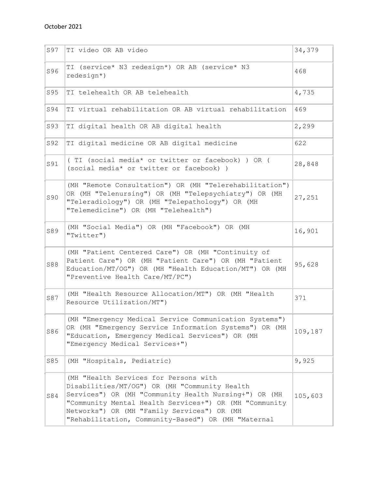| S97 | TI video OR AB video                                                                                                                                                                                                                                                                                            | 34,379  |
|-----|-----------------------------------------------------------------------------------------------------------------------------------------------------------------------------------------------------------------------------------------------------------------------------------------------------------------|---------|
| S96 | TI (service* N3 redesign*) OR AB (service* N3<br>$redesign*$ )                                                                                                                                                                                                                                                  | 468     |
| S95 | TI telehealth OR AB telehealth                                                                                                                                                                                                                                                                                  | 4,735   |
| S94 | TI virtual rehabilitation OR AB virtual rehabilitation                                                                                                                                                                                                                                                          | 469     |
| S93 | TI digital health OR AB digital health                                                                                                                                                                                                                                                                          | 2,299   |
| S92 | TI digital medicine OR AB digital medicine                                                                                                                                                                                                                                                                      | 622     |
| S91 | (TI (social media* or twitter or facebook) ) OR (<br>(social media* or twitter or facebook) )                                                                                                                                                                                                                   | 28,848  |
| S90 | (MH "Remote Consultation") OR (MH "Telerehabilitation")<br>OR (MH "Telenursing") OR (MH "Telepsychiatry") OR (MH<br>"Teleradiology") OR (MH "Telepathology") OR (MH<br>"Telemedicine") OR (MH "Telehealth")                                                                                                     | 27,251  |
| S89 | (MH "Social Media") OR (MH "Facebook") OR (MH<br>"Twitter")                                                                                                                                                                                                                                                     | 16,901  |
| S88 | (MH "Patient Centered Care") OR (MH "Continuity of<br>Patient Care") OR (MH "Patient Care") OR (MH "Patient<br>Education/MT/OG") OR (MH "Health Education/MT") OR (MH<br>"Preventive Health Care/MT/PC")                                                                                                        | 95,628  |
| S87 | (MH "Health Resource Allocation/MT") OR (MH "Health<br>Resource Utilization/MT")                                                                                                                                                                                                                                | 371     |
| S86 | (MH "Emergency Medical Service Communication Systems")<br>OR (MH "Emergency Service Information Systems") OR (MH<br>"Education, Emergency Medical Services") OR (MH<br>"Emergency Medical Services+")                                                                                                           | 109,187 |
| S85 | (MH "Hospitals, Pediatric)                                                                                                                                                                                                                                                                                      | 9,925   |
| S84 | (MH "Health Services for Persons with<br>Disabilities/MT/OG") OR (MH "Community Health<br>Services") OR (MH "Community Health Nursing+") OR (MH<br>"Community Mental Health Services+") OR (MH "Community<br>Networks") OR (MH "Family Services") OR (MH<br>"Rehabilitation, Community-Based") OR (MH "Maternal | 105,603 |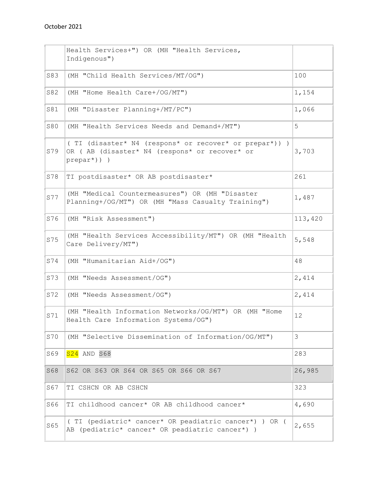|     | Health Services+") OR (MH "Health Services,<br>Indigenous")                                                               |         |
|-----|---------------------------------------------------------------------------------------------------------------------------|---------|
| S83 | (MH "Child Health Services/MT/OG")                                                                                        | 100     |
| S82 | (MH "Home Health Care+/OG/MT")                                                                                            | 1,154   |
| S81 | (MH "Disaster Planning+/MT/PC")                                                                                           | 1,066   |
| S80 | (MH "Health Services Needs and Demand+/MT")                                                                               | 5       |
| S79 | (TI (disaster* N4 (respons* or recover* or prepar*)))<br>OR ( AB (disaster* N4 (respons* or recover* or<br>$prepar*)$ ) ) | 3,703   |
| S78 | TI postdisaster* OR AB postdisaster*                                                                                      | 261     |
| S77 | (MH "Medical Countermeasures") OR (MH "Disaster<br>Planning+/OG/MT") OR (MH "Mass Casualty Training")                     | 1,487   |
| S76 | (MH "Risk Assessment")                                                                                                    | 113,420 |
| S75 | (MH "Health Services Accessibility/MT") OR (MH "Health<br>Care Delivery/MT")                                              | 5,548   |
| S74 | (MH "Humanitarian Aid+/OG")                                                                                               | 48      |
| S73 | (MH "Needs Assessment/OG")                                                                                                | 2,414   |
| S72 | (MH "Needs Assessment/OG")                                                                                                | 2,414   |
| S71 | (MH "Health Information Networks/OG/MT") OR (MH "Home<br>Health Care Information Systems/OG")                             | 12      |
| S70 | (MH "Selective Dissemination of Information/OG/MT")                                                                       | 3       |
| S69 | $S24$ AND S68                                                                                                             | 283     |
| S68 | S62 OR S63 OR S64 OR S65 OR S66 OR S67                                                                                    | 26,985  |
| S67 | TI CSHCN OR AB CSHCN                                                                                                      | 323     |
| S66 | TI childhood cancer* OR AB childhood cancer*                                                                              | 4,690   |
| S65 | ( TI (pediatric* cancer* OR peadiatric cancer*) ) OR (<br>AB (pediatric* cancer* OR peadiatric cancer*) )                 | 2,655   |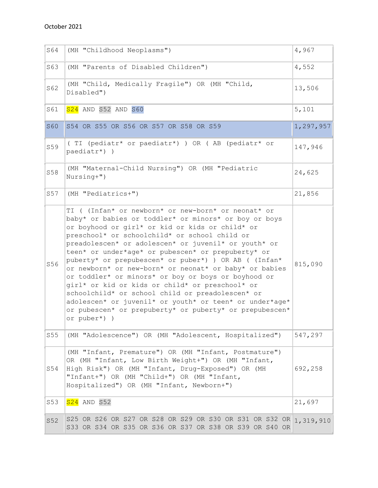| S64             | (MH "Childhood Neoplasms")                                                                                                                                                                                                                                                                                                                                                                                                                                                                                                                                                                                                                                                                                                                            | 4,967     |
|-----------------|-------------------------------------------------------------------------------------------------------------------------------------------------------------------------------------------------------------------------------------------------------------------------------------------------------------------------------------------------------------------------------------------------------------------------------------------------------------------------------------------------------------------------------------------------------------------------------------------------------------------------------------------------------------------------------------------------------------------------------------------------------|-----------|
| S63             | (MH "Parents of Disabled Children")                                                                                                                                                                                                                                                                                                                                                                                                                                                                                                                                                                                                                                                                                                                   | 4,552     |
| S62             | (MH "Child, Medically Fragile") OR (MH "Child,<br>Disabled")                                                                                                                                                                                                                                                                                                                                                                                                                                                                                                                                                                                                                                                                                          | 13,506    |
| S61             | S24 AND S52 AND S60                                                                                                                                                                                                                                                                                                                                                                                                                                                                                                                                                                                                                                                                                                                                   | 5,101     |
| <b>S60</b>      | S54 OR S55 OR S56 OR S57 OR S58 OR S59                                                                                                                                                                                                                                                                                                                                                                                                                                                                                                                                                                                                                                                                                                                | 1,297,957 |
| S59             | (TI (pediatr* or paediatr*) ) OR (AB (pediatr* or<br>paediatr*) )                                                                                                                                                                                                                                                                                                                                                                                                                                                                                                                                                                                                                                                                                     | 147,946   |
| S58             | (MH "Maternal-Child Nursing") OR (MH "Pediatric<br>Nursing+")                                                                                                                                                                                                                                                                                                                                                                                                                                                                                                                                                                                                                                                                                         | 24,625    |
| S57             | (MH "Pediatrics+")                                                                                                                                                                                                                                                                                                                                                                                                                                                                                                                                                                                                                                                                                                                                    | 21,856    |
| S56             | TI ( (Infan* or newborn* or new-born* or neonat* or<br>baby* or babies or toddler* or minors* or boy or boys<br>or boyhood or girl* or kid or kids or child* or<br>preschool* or schoolchild* or school child or<br>preadolescen* or adolescen* or juvenil* or youth* or<br>teen* or under*age* or pubescen* or prepuberty* or<br>puberty* or prepubescen* or puber*) ) OR AB ( (Infan*<br>or newborn* or new-born* or neonat* or baby* or babies<br>or toddler* or minors* or boy or boys or boyhood or<br>girl* or kid or kids or child* or preschool* or<br>schoolchild* or school child or preadolescen* or<br>adolescen* or juvenil* or youth* or teen* or under*age*<br>or pubescen* or prepuberty* or puberty* or prepubescen*<br>or puber*) ) | 815,090   |
| S <sub>55</sub> | (MH "Adolescence") OR (MH "Adolescent, Hospitalized")                                                                                                                                                                                                                                                                                                                                                                                                                                                                                                                                                                                                                                                                                                 | 547,297   |
| S54             | (MH "Infant, Premature") OR (MH "Infant, Postmature")<br>OR (MH "Infant, Low Birth Weight+") OR (MH "Infant,<br>High Risk") OR (MH "Infant, Drug-Exposed") OR (MH<br>"Infant+") OR (MH "Child+") OR (MH "Infant,<br>Hospitalized") OR (MH "Infant, Newborn+")                                                                                                                                                                                                                                                                                                                                                                                                                                                                                         | 692,258   |
| S <sub>53</sub> | <b>S24</b> AND S52                                                                                                                                                                                                                                                                                                                                                                                                                                                                                                                                                                                                                                                                                                                                    | 21,697    |
| S52             | S25 OR S26 OR S27 OR S28 OR S29 OR S30 OR S31 OR S32 OR 1, 319, 910<br>S33 OR S34 OR S35 OR S36 OR S37 OR S38 OR S39 OR S40 OR                                                                                                                                                                                                                                                                                                                                                                                                                                                                                                                                                                                                                        |           |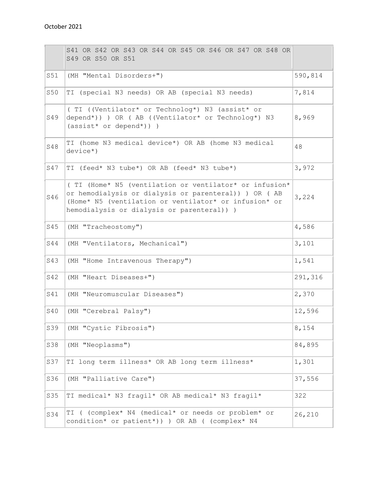|     | S41 OR S42 OR S43 OR S44 OR S45 OR S46 OR S47 OR S48 OR<br>S49 OR S50 OR S51                                                                                                                                           |         |
|-----|------------------------------------------------------------------------------------------------------------------------------------------------------------------------------------------------------------------------|---------|
| S51 | (MH "Mental Disorders+")                                                                                                                                                                                               | 590,814 |
| S50 | TI (special N3 needs) OR AB (special N3 needs)                                                                                                                                                                         | 7,814   |
| S49 | (TI ((Ventilator* or Technolog*) N3 (assist* or<br>depend*)) ) OR ( AB ((Ventilator* or Technolog*) N3<br>$(\text{assert} \star \text{ or depend} \star))$ )                                                           | 8,969   |
| S48 | TI (home N3 medical device*) OR AB (home N3 medical<br>$device*$ )                                                                                                                                                     | 48      |
| S47 | TI (feed* N3 tube*) OR AB (feed* N3 tube*)                                                                                                                                                                             | 3,972   |
| S46 | (TI (Home* N5 (ventilation or ventilator* or infusion*<br>or hemodialysis or dialysis or parenteral)) ) OR ( AB<br>(Home* N5 (ventilation or ventilator* or infusion* or<br>hemodialysis or dialysis or parenteral)) ) | 3,224   |
| S45 | (MH "Tracheostomy")                                                                                                                                                                                                    | 4,586   |
| S44 | (MH "Ventilators, Mechanical")                                                                                                                                                                                         | 3,101   |
| S43 | (MH "Home Intravenous Therapy")                                                                                                                                                                                        | 1,541   |
| S42 | (MH "Heart Diseases+")                                                                                                                                                                                                 | 291,316 |
| S41 | (MH "Neuromuscular Diseases")                                                                                                                                                                                          | 2,370   |
| S40 | (MH "Cerebral Palsy")                                                                                                                                                                                                  | 12,596  |
| S39 | (MH "Cystic Fibrosis")                                                                                                                                                                                                 | 8,154   |
| S38 | (MH "Neoplasms")                                                                                                                                                                                                       | 84,895  |
| S37 | TI long term illness* OR AB long term illness*                                                                                                                                                                         | 1,301   |
| S36 | (MH "Palliative Care")                                                                                                                                                                                                 | 37,556  |
| S35 | TI medical* N3 fragil* OR AB medical* N3 fragil*                                                                                                                                                                       | 322     |
| S34 | TI ( (complex* N4 (medical* or needs or problem* or<br>condition* or patient*)) ) OR AB ( (complex* N4                                                                                                                 | 26,210  |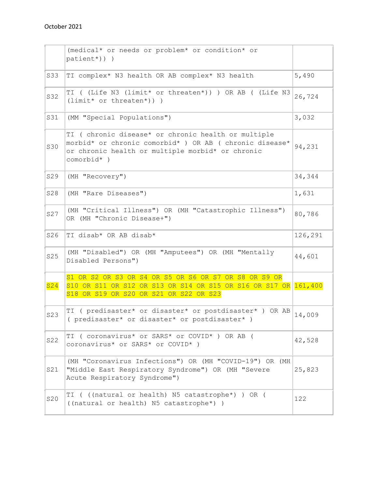|     | (medical* or needs or problem* or condition* or<br>$patient*)$ ) )                                                                                                               |         |
|-----|----------------------------------------------------------------------------------------------------------------------------------------------------------------------------------|---------|
| S33 | TI complex* N3 health OR AB complex* N3 health                                                                                                                                   | 5,490   |
| S32 | TI ((Life N3 (limit* or threaten*)) ) OR AB ((Life N3<br>$(limit* or threatment)) )$                                                                                             | 26,724  |
| S31 | (MM "Special Populations")                                                                                                                                                       | 3,032   |
| S30 | TI ( chronic disease* or chronic health or multiple<br>morbid* or chronic comorbid* ) OR AB ( chronic disease*<br>or chronic health or multiple morbid* or chronic<br>comorbid*) | 94,231  |
| S29 | (MH "Recovery")                                                                                                                                                                  | 34,344  |
| S28 | (MH "Rare Diseases")                                                                                                                                                             | 1,631   |
| S27 | (MH "Critical Illness") OR (MH "Catastrophic Illness")<br>OR (MH "Chronic Disease+")                                                                                             | 80,786  |
| S26 | TI disab* OR AB disab*                                                                                                                                                           | 126,291 |
| S25 | (MH "Disabled") OR (MH "Amputees") OR (MH "Mentally<br>Disabled Persons")                                                                                                        | 44,601  |
| S24 | S1 OR S2 OR S3 OR S4 OR S5 OR S6 OR S7 OR S8 OR S9 OR<br>S10 OR S11 OR S12 OR S13 OR S14 OR S15 OR S16 OR S17 OR 161,400<br>S18 OR S19 OR S20 OR S21 OR S22 OR S23               |         |
| S23 | TI ( predisaster* or disaster* or postdisaster* ) OR AB<br>( predisaster* or disaster* or postdisaster* )                                                                        | 14,009  |
| S22 | TI ( coronavirus* or SARS* or COVID* ) OR AB (<br>coronavirus* or SARS* or COVID* )                                                                                              | 42,528  |
| S21 | (MH "Coronavirus Infections") OR (MH "COVID-19") OR (MH<br>"Middle East Respiratory Syndrome") OR (MH "Severe<br>Acute Respiratory Syndrome")                                    | 25,823  |
| S20 | TI ( ((natural or health) N5 catastrophe*) ) OR (<br>((natural or health) N5 catastrophe*) )                                                                                     | 122     |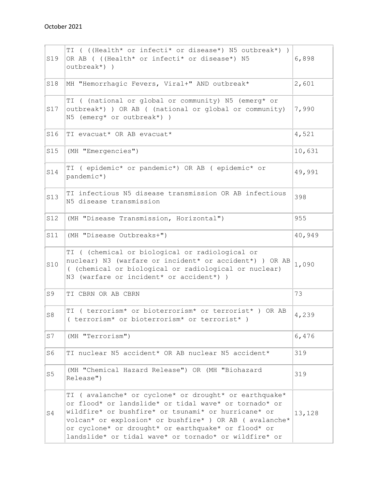| S19            | TI ( ((Health* or infecti* or disease*) N5 outbreak*) )<br>OR AB ( ((Health* or infecti* or disease*) N5<br>outbreak*))                                                                                                                                                                                                                          | 6,898  |
|----------------|--------------------------------------------------------------------------------------------------------------------------------------------------------------------------------------------------------------------------------------------------------------------------------------------------------------------------------------------------|--------|
| S18            | MH "Hemorrhagic Fevers, Viral+" AND outbreak*                                                                                                                                                                                                                                                                                                    | 2,601  |
| S17            | TI ( (national or global or community) N5 (emerg* or<br>outbreak*) ) OR AB ( (national or global or community)<br>N5 (emerg* or outbreak*) )                                                                                                                                                                                                     | 7,990  |
| S16            | TI evacuat* OR AB evacuat*                                                                                                                                                                                                                                                                                                                       | 4,521  |
| S15            | (MH "Emergencies")                                                                                                                                                                                                                                                                                                                               | 10,631 |
| S14            | TI ( epidemic* or pandemic*) OR AB ( epidemic* or<br>pandemic*)                                                                                                                                                                                                                                                                                  | 49,991 |
| S13            | TI infectious N5 disease transmission OR AB infectious<br>N5 disease transmission                                                                                                                                                                                                                                                                | 398    |
| S12            | (MH "Disease Transmission, Horizontal")                                                                                                                                                                                                                                                                                                          | 955    |
| S11            | (MH "Disease Outbreaks+")                                                                                                                                                                                                                                                                                                                        | 40,949 |
| S10            | TI ( (chemical or biological or radiological or<br>nuclear) N3 (warfare or incident* or accident*) ) OR AB<br>( (chemical or biological or radiological or nuclear)<br>N3 (warfare or incident* or accident*) )                                                                                                                                  | 1,090  |
| S <sub>9</sub> | TI CBRN OR AB CBRN                                                                                                                                                                                                                                                                                                                               | 73     |
| S8             | TI ( terrorism* or bioterrorism* or terrorist* ) OR AB<br>(terrorism* or bioterrorism* or terrorist*)                                                                                                                                                                                                                                            | 4,239  |
| S7             | (MH "Terrorism")                                                                                                                                                                                                                                                                                                                                 | 6,476  |
| S6             | TI nuclear N5 accident* OR AB nuclear N5 accident*                                                                                                                                                                                                                                                                                               | 319    |
| S <sub>5</sub> | (MH "Chemical Hazard Release") OR (MH "Biohazard<br>Release")                                                                                                                                                                                                                                                                                    | 319    |
| S4             | TI (avalanche* or cyclone* or drought* or earthquake*<br>or flood* or landslide* or tidal wave* or tornado* or<br>wildfire* or bushfire* or tsunami* or hurricane* or<br>volcan* or explosion* or bushfire* ) OR AB ( avalanche*<br>or cyclone* or drought* or earthquake* or flood* or<br>landslide* or tidal wave* or tornado* or wildfire* or | 13,128 |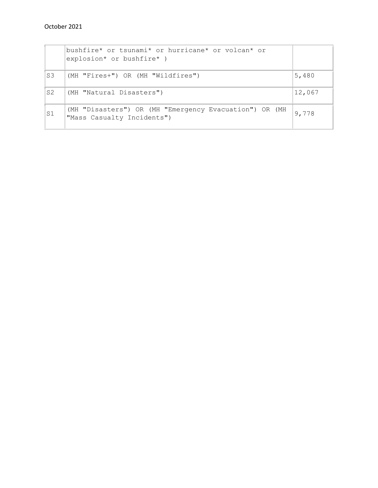|                | bushfire* or tsunami* or hurricane* or volcan* or<br>explosion* or bushfire* )       |        |
|----------------|--------------------------------------------------------------------------------------|--------|
| S <sub>3</sub> | (MH "Fires+") OR (MH "Wildfires")                                                    | 5,480  |
| S <sub>2</sub> | (MH "Natural Disasters")                                                             | 12,067 |
| S1             | (MH "Disasters") OR (MH "Emergency Evacuation") OR (MH<br>"Mass Casualty Incidents") | 9,778  |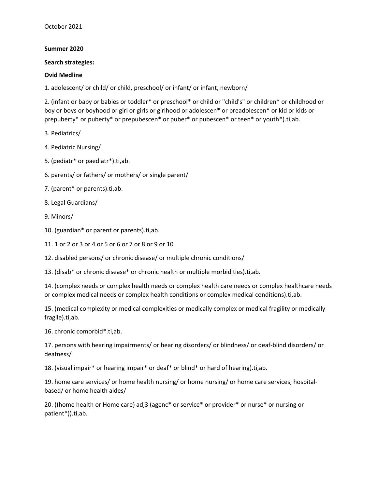#### **Summer 2020**

#### **Search strategies:**

#### **Ovid Medline**

1. adolescent/ or child/ or child, preschool/ or infant/ or infant, newborn/

2. (infant or baby or babies or toddler\* or preschool\* or child or "child's" or children\* or childhood or boy or boys or boyhood or girl or girls or girlhood or adolescen\* or preadolescen\* or kid or kids or prepuberty\* or puberty\* or prepubescen\* or puber\* or pubescen\* or teen\* or youth\*).ti,ab.

3. Pediatrics/

- 4. Pediatric Nursing/
- 5. (pediatr\* or paediatr\*).ti,ab.
- 6. parents/ or fathers/ or mothers/ or single parent/
- 7. (parent\* or parents).ti,ab.
- 8. Legal Guardians/
- 9. Minors/
- 10. (guardian\* or parent or parents).ti,ab.
- 11. 1 or 2 or 3 or 4 or 5 or 6 or 7 or 8 or 9 or 10
- 12. disabled persons/ or chronic disease/ or multiple chronic conditions/

13. (disab\* or chronic disease\* or chronic health or multiple morbidities).ti,ab.

14. (complex needs or complex health needs or complex health care needs or complex healthcare needs or complex medical needs or complex health conditions or complex medical conditions).ti,ab.

15. (medical complexity or medical complexities or medically complex or medical fragility or medically fragile).ti,ab.

16. chronic comorbid\*.ti,ab.

17. persons with hearing impairments/ or hearing disorders/ or blindness/ or deaf-blind disorders/ or deafness/

18. (visual impair\* or hearing impair\* or deaf\* or blind\* or hard of hearing).ti,ab.

19. home care services/ or home health nursing/ or home nursing/ or home care services, hospitalbased/ or home health aides/

20. ((home health or Home care) adj3 (agenc\* or service\* or provider\* or nurse\* or nursing or patient\*)).ti,ab.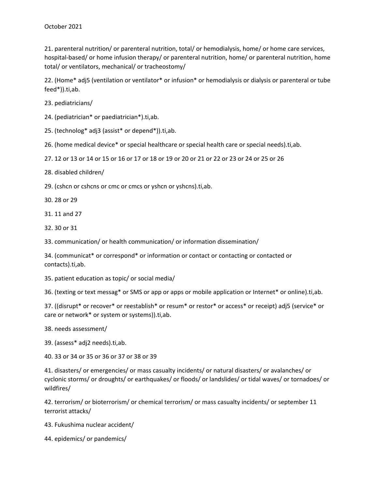21. parenteral nutrition/ or parenteral nutrition, total/ or hemodialysis, home/ or home care services, hospital-based/ or home infusion therapy/ or parenteral nutrition, home/ or parenteral nutrition, home total/ or ventilators, mechanical/ or tracheostomy/

22. (Home\* adj5 (ventilation or ventilator\* or infusion\* or hemodialysis or dialysis or parenteral or tube feed\*)).ti,ab.

23. pediatricians/

24. (pediatrician\* or paediatrician\*).ti,ab.

25. (technolog\* adj3 (assist\* or depend\*)).ti,ab.

26. (home medical device\* or special healthcare or special health care or special needs).ti,ab.

27. 12 or 13 or 14 or 15 or 16 or 17 or 18 or 19 or 20 or 21 or 22 or 23 or 24 or 25 or 26

28. disabled children/

29. (cshcn or cshcns or cmc or cmcs or yshcn or yshcns).ti,ab.

30. 28 or 29

31. 11 and 27

32. 30 or 31

33. communication/ or health communication/ or information dissemination/

34. (communicat\* or correspond\* or information or contact or contacting or contacted or contacts).ti,ab.

35. patient education as topic/ or social media/

36. (texting or text messag\* or SMS or app or apps or mobile application or Internet\* or online).ti,ab.

37. ((disrupt\* or recover\* or reestablish\* or resum\* or restor\* or access\* or receipt) adj5 (service\* or care or network\* or system or systems)).ti,ab.

38. needs assessment/

39. (assess\* adj2 needs).ti,ab.

40. 33 or 34 or 35 or 36 or 37 or 38 or 39

41. disasters/ or emergencies/ or mass casualty incidents/ or natural disasters/ or avalanches/ or cyclonic storms/ or droughts/ or earthquakes/ or floods/ or landslides/ or tidal waves/ or tornadoes/ or wildfires/

42. terrorism/ or bioterrorism/ or chemical terrorism/ or mass casualty incidents/ or september 11 terrorist attacks/

43. Fukushima nuclear accident/

44. epidemics/ or pandemics/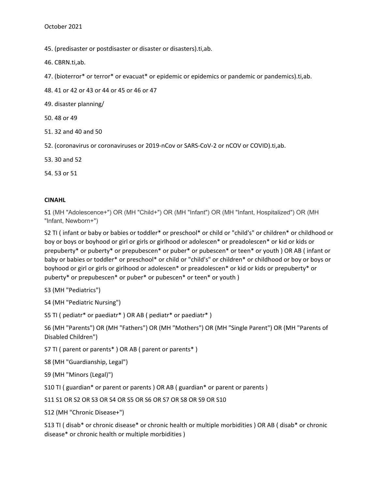45. (predisaster or postdisaster or disaster or disasters).ti,ab.

46. CBRN.ti,ab.

47. (bioterror\* or terror\* or evacuat\* or epidemic or epidemics or pandemic or pandemics).ti,ab.

48. 41 or 42 or 43 or 44 or 45 or 46 or 47

49. disaster planning/

50. 48 or 49

51. 32 and 40 and 50

52. (coronavirus or coronaviruses or 2019-nCov or SARS-CoV-2 or nCOV or COVID).ti,ab.

53. 30 and 52

54. 53 or 51

#### **CINAHL**

S1 (MH "Adolescence+") OR (MH "Child+") OR (MH "Infant") OR (MH "Infant, Hospitalized") OR (MH "Infant, Newborn+")

S2 TI ( infant or baby or babies or toddler\* or preschool\* or child or "child's" or children\* or childhood or boy or boys or boyhood or girl or girls or girlhood or adolescen\* or preadolescen\* or kid or kids or prepuberty\* or puberty\* or prepubescen\* or puber\* or pubescen\* or teen\* or youth ) OR AB ( infant or baby or babies or toddler\* or preschool\* or child or "child's" or children\* or childhood or boy or boys or boyhood or girl or girls or girlhood or adolescen\* or preadolescen\* or kid or kids or prepuberty\* or puberty\* or prepubescen\* or puber\* or pubescen\* or teen\* or youth )

S3 (MH "Pediatrics")

S4 (MH "Pediatric Nursing")

S5 TI ( pediatr\* or paediatr\* ) OR AB ( pediatr\* or paediatr\* )

S6 (MH "Parents") OR (MH "Fathers") OR (MH "Mothers") OR (MH "Single Parent") OR (MH "Parents of Disabled Children")

S7 TI ( parent or parents\* ) OR AB ( parent or parents\* )

S8 (MH "Guardianship, Legal")

S9 (MH "Minors (Legal)")

S10 TI ( guardian\* or parent or parents ) OR AB ( guardian\* or parent or parents )

S11 S1 OR S2 OR S3 OR S4 OR S5 OR S6 OR S7 OR S8 OR S9 OR S10

S12 (MH "Chronic Disease+")

S13 TI ( disab\* or chronic disease\* or chronic health or multiple morbidities ) OR AB ( disab\* or chronic disease\* or chronic health or multiple morbidities )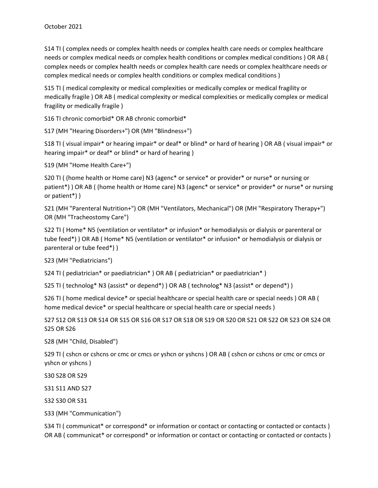S14 TI ( complex needs or complex health needs or complex health care needs or complex healthcare needs or complex medical needs or complex health conditions or complex medical conditions ) OR AB ( complex needs or complex health needs or complex health care needs or complex healthcare needs or complex medical needs or complex health conditions or complex medical conditions )

S15 TI ( medical complexity or medical complexities or medically complex or medical fragility or medically fragile ) OR AB ( medical complexity or medical complexities or medically complex or medical fragility or medically fragile )

S16 TI chronic comorbid\* OR AB chronic comorbid\*

S17 (MH "Hearing Disorders+") OR (MH "Blindness+")

S18 TI ( visual impair\* or hearing impair\* or deaf\* or blind\* or hard of hearing ) OR AB ( visual impair\* or hearing impair\* or deaf\* or blind\* or hard of hearing )

S19 (MH "Home Health Care+")

S20 TI ( (home health or Home care) N3 (agenc\* or service\* or provider\* or nurse\* or nursing or patient\*) ) OR AB ( (home health or Home care) N3 (agenc\* or service\* or provider\* or nurse\* or nursing or patient\*) )

S21 (MH "Parenteral Nutrition+") OR (MH "Ventilators, Mechanical") OR (MH "Respiratory Therapy+") OR (MH "Tracheostomy Care")

S22 TI ( Home\* N5 (ventilation or ventilator\* or infusion\* or hemodialysis or dialysis or parenteral or tube feed\*) ) OR AB ( Home\* N5 (ventilation or ventilator\* or infusion\* or hemodialysis or dialysis or parenteral or tube feed\*) )

S23 (MH "Pediatricians")

S24 TI ( pediatrician\* or paediatrician\* ) OR AB ( pediatrician\* or paediatrician\* )

S25 TI ( technolog\* N3 (assist\* or depend\*) ) OR AB ( technolog\* N3 (assist\* or depend\*) )

S26 TI ( home medical device\* or special healthcare or special health care or special needs ) OR AB ( home medical device\* or special healthcare or special health care or special needs )

S27 S12 OR S13 OR S14 OR S15 OR S16 OR S17 OR S18 OR S19 OR S20 OR S21 OR S22 OR S23 OR S24 OR S25 OR S26

S28 (MH "Child, Disabled")

S29 TI ( cshcn or cshcns or cmc or cmcs or yshcn or yshcns ) OR AB ( cshcn or cshcns or cmc or cmcs or yshcn or yshcns )

S30 S28 OR S29

S31 S11 AND S27

S32 S30 OR S31

S33 (MH "Communication")

S34 TI ( communicat\* or correspond\* or information or contact or contacting or contacted or contacts ) OR AB ( communicat\* or correspond\* or information or contact or contacting or contacted or contacts )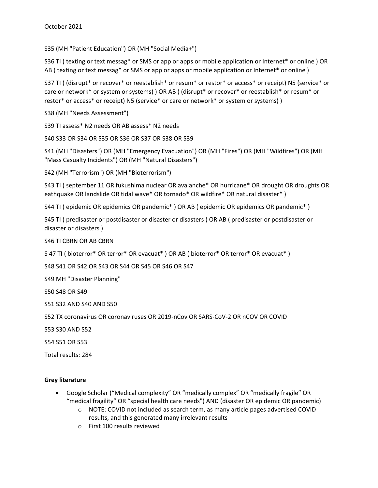S35 (MH "Patient Education") OR (MH "Social Media+")

S36 TI ( texting or text messag\* or SMS or app or apps or mobile application or Internet\* or online ) OR AB ( texting or text messag\* or SMS or app or apps or mobile application or Internet\* or online )

S37 TI ( (disrupt\* or recover\* or reestablish\* or resum\* or restor\* or access\* or receipt) N5 (service\* or care or network\* or system or systems) ) OR AB ( (disrupt\* or recover\* or reestablish\* or resum\* or restor\* or access\* or receipt) N5 (service\* or care or network\* or system or systems) )

S38 (MH "Needs Assessment")

S39 TI assess\* N2 needs OR AB assess\* N2 needs

S40 S33 OR S34 OR S35 OR S36 OR S37 OR S38 OR S39

S41 (MH "Disasters") OR (MH "Emergency Evacuation") OR (MH "Fires") OR (MH "Wildfires") OR (MH "Mass Casualty Incidents") OR (MH "Natural Disasters")

S42 (MH "Terrorism") OR (MH "Bioterrorism")

S43 TI ( september 11 OR fukushima nuclear OR avalanche\* OR hurricane\* OR drought OR droughts OR eathquake OR landslide OR tidal wave\* OR tornado\* OR wildfire\* OR natural disaster\* )

S44 TI ( epidemic OR epidemics OR pandemic\* ) OR AB ( epidemic OR epidemics OR pandemic\* )

S45 TI ( predisaster or postdisaster or disaster or disasters ) OR AB ( predisaster or postdisaster or disaster or disasters )

S46 TI CBRN OR AB CBRN

S 47 TI ( bioterror\* OR terror\* OR evacuat\* ) OR AB ( bioterror\* OR terror\* OR evacuat\* )

S48 S41 OR S42 OR S43 OR S44 OR S45 OR S46 OR S47

S49 MH "Disaster Planning"

S50 S48 OR S49

S51 S32 AND S40 AND S50

S52 TX coronavirus OR coronaviruses OR 2019-nCov OR SARS-CoV-2 OR nCOV OR COVID

S53 S30 AND S52

S54 S51 OR S53

Total results: 284

#### **Grey literature**

- Google Scholar ("Medical complexity" OR "medically complex" OR "medically fragile" OR "medical fragility" OR "special health care needs") AND (disaster OR epidemic OR pandemic)
	- o NOTE: COVID not included as search term, as many article pages advertised COVID results, and this generated many irrelevant results
	- o First 100 results reviewed